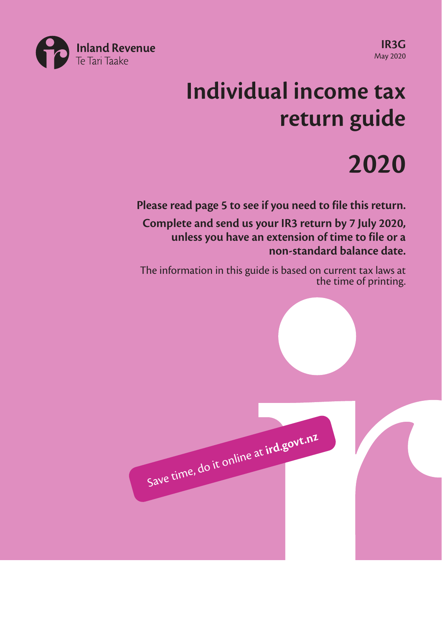

**IR3G** May 2020

# **Individual income tax return guide**

# **2020**

**Please read page 5 to see if you need to file this return.**

**Complete and send us your IR3 return by 7 July 2020, unless you have an extension of time to file or a non-standard balance date.**

The information in this guide is based on current tax laws at the time of printing.

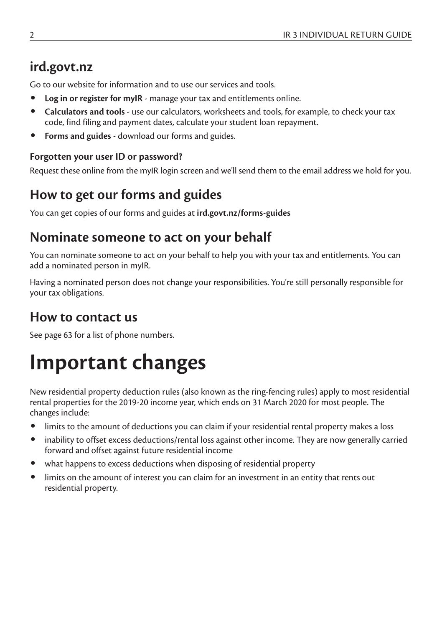# **ird.govt.nz**

Go to our website for information and to use our services and tools.

- **Log in or register for myIR** manage your tax and entitlements online.
- **Calculators and tools** use our calculators, worksheets and tools, for example, to check your tax code, find filing and payment dates, calculate your student loan repayment.
- **Forms and guides**  download our forms and guides.

#### **Forgotten your user ID or password?**

Request these online from the myIR login screen and we'll send them to the email address we hold for you.

## **How to get our forms and guides**

You can get copies of our forms and guides at **ird.govt.nz/forms-guides**

## **Nominate someone to act on your behalf**

You can nominate someone to act on your behalf to help you with your tax and entitlements. You can add a nominated person in myIR.

Having a nominated person does not change your responsibilities. You're still personally responsible for your tax obligations.

## **How to contact us**

See page 63 for a list of phone numbers.

# **Important changes**

New residential property deduction rules (also known as the ring-fencing rules) apply to most residential rental properties for the 2019-20 income year, which ends on 31 March 2020 for most people. The changes include:

- limits to the amount of deductions you can claim if your residential rental property makes a loss
- inability to offset excess deductions/rental loss against other income. They are now generally carried forward and offset against future residential income
- what happens to excess deductions when disposing of residential property
- limits on the amount of interest you can claim for an investment in an entity that rents out residential property.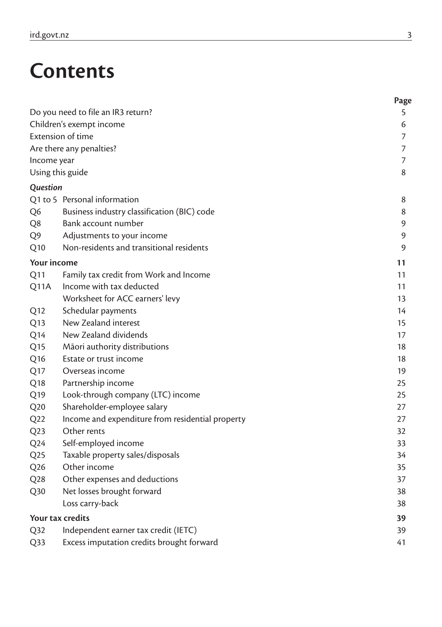# **Contents**

|                    |                                                  | Page |
|--------------------|--------------------------------------------------|------|
|                    | Do you need to file an IR3 return?               | 5    |
|                    | Children's exempt income                         | 6    |
|                    | <b>Extension of time</b>                         | 7    |
|                    | Are there any penalties?                         | 7    |
| Income year        |                                                  | 7    |
|                    | Using this guide                                 | 8    |
| Question           |                                                  |      |
|                    | Q1 to 5 Personal information                     | 8    |
| Q6                 | Business industry classification (BIC) code      | 8    |
| Q8                 | Bank account number                              | 9    |
| Q9                 | Adjustments to your income                       | 9    |
| Q10                | Non-residents and transitional residents         | 9    |
| <b>Your income</b> |                                                  | 11   |
| Q11                | Family tax credit from Work and Income           | 11   |
| Q11A               | Income with tax deducted                         | 11   |
|                    | Worksheet for ACC earners' levy                  | 13   |
| Q12                | Schedular payments                               | 14   |
| Q <sub>13</sub>    | New Zealand interest                             | 15   |
| Q <sub>14</sub>    | New Zealand dividends                            | 17   |
| Q <sub>15</sub>    | Māori authority distributions                    | 18   |
| Q <sub>16</sub>    | Estate or trust income                           | 18   |
| Q17                | Overseas income                                  | 19   |
| Q <sub>18</sub>    | Partnership income                               | 25   |
| Q <sub>19</sub>    | Look-through company (LTC) income                | 25   |
| Q20                | Shareholder-employee salary                      | 27   |
| Q <sub>22</sub>    | Income and expenditure from residential property | 27   |
| Q <sub>2</sub> 3   | Other rents                                      | 32   |
| Q <sub>24</sub>    | Self-employed income                             | 33   |
| Q <sub>25</sub>    | Taxable property sales/disposals                 | 34   |
| Q <sub>26</sub>    | Other income                                     | 35   |
| Q28                | Other expenses and deductions                    | 37   |
| Q30                | Net losses brought forward                       | 38   |
|                    | Loss carry-back                                  | 38   |
|                    | Your tax credits                                 | 39   |
| Q32                | Independent earner tax credit (IETC)             | 39   |
| Q33                | Excess imputation credits brought forward        | 41   |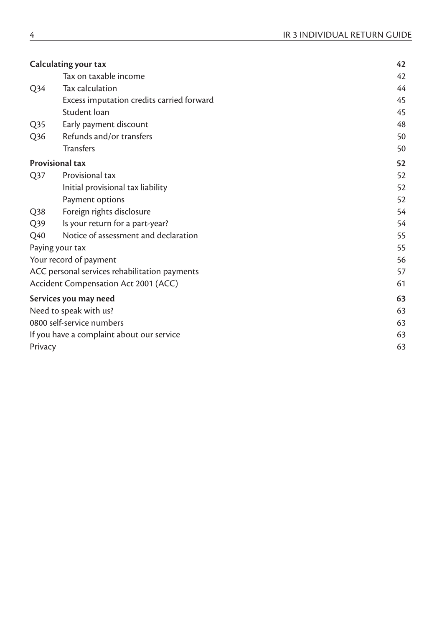| Calculating your tax      |                                               | 42 |
|---------------------------|-----------------------------------------------|----|
|                           | Tax on taxable income                         | 42 |
| Q <sub>34</sub>           | Tax calculation                               | 44 |
|                           | Excess imputation credits carried forward     | 45 |
|                           | Student loan                                  | 45 |
| Q <sub>35</sub>           | Early payment discount                        | 48 |
| Q <sub>36</sub>           | Refunds and/or transfers                      | 50 |
|                           | <b>Transfers</b>                              | 50 |
| <b>Provisional tax</b>    |                                               | 52 |
| Q37                       | Provisional tax                               | 52 |
|                           | Initial provisional tax liability             | 52 |
|                           | Payment options                               | 52 |
| Q <sub>38</sub>           | Foreign rights disclosure                     | 54 |
| Q39                       | Is your return for a part-year?               | 54 |
| Q40                       | Notice of assessment and declaration          | 55 |
| Paying your tax           |                                               | 55 |
|                           | Your record of payment                        | 56 |
|                           | ACC personal services rehabilitation payments | 57 |
|                           | Accident Compensation Act 2001 (ACC)          | 61 |
|                           | Services you may need                         | 63 |
| Need to speak with us?    |                                               | 63 |
| 0800 self-service numbers |                                               | 63 |
|                           | If you have a complaint about our service     | 63 |
| Privacy                   |                                               | 63 |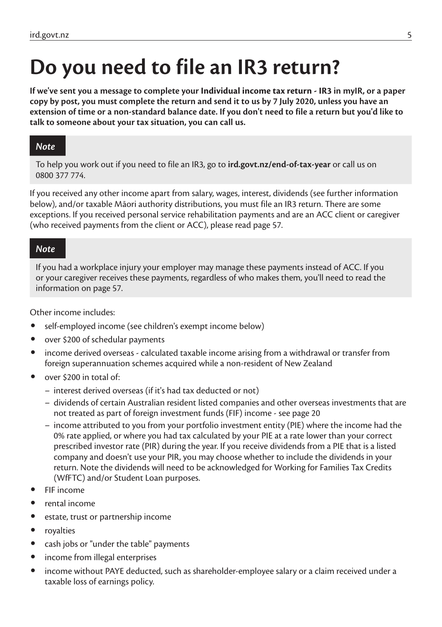# **Do you need to file an IR3 return?**

**If we've sent you a message to complete your Individual income tax return - IR3 in myIR, or a paper copy by post, you must complete the return and send it to us by 7 July 2020, unless you have an extension of time or a non-standard balance date. If you don't need to file a return but you'd like to talk to someone about your tax situation, you can call us.**

#### *Note*

To help you work out if you need to file an IR3, go to **ird.govt.nz/end-of-tax-year** or call us on 0800 377 774.

If you received any other income apart from salary, wages, interest, dividends (see further information below), and/or taxable Māori authority distributions, you must file an IR3 return. There are some exceptions. If you received personal service rehabilitation payments and are an ACC client or caregiver (who received payments from the client or ACC), please read page 57.

#### *Note*

If you had a workplace injury your employer may manage these payments instead of ACC. If you or your caregiver receives these payments, regardless of who makes them, you'll need to read the information on page 57.

Other income includes:

- self-employed income (see children's exempt income below)
- over \$200 of schedular payments
- income derived overseas calculated taxable income arising from a withdrawal or transfer from foreign superannuation schemes acquired while a non-resident of New Zealand
- over \$200 in total of:
	- interest derived overseas (if it's had tax deducted or not)
	- dividends of certain Australian resident listed companies and other overseas investments that are not treated as part of foreign investment funds (FIF) income - see page 20
	- income attributed to you from your portfolio investment entity (PIE) where the income had the 0% rate applied, or where you had tax calculated by your PIE at a rate lower than your correct prescribed investor rate (PIR) during the year. If you receive dividends from a PIE that is a listed company and doesn't use your PIR, you may choose whether to include the dividends in your return. Note the dividends will need to be acknowledged for Working for Families Tax Credits (WfFTC) and/or Student Loan purposes.
- FIF income
- rental income
- estate, trust or partnership income
- royalties
- cash jobs or "under the table" payments
- income from illegal enterprises
- income without PAYE deducted, such as shareholder-employee salary or a claim received under a taxable loss of earnings policy.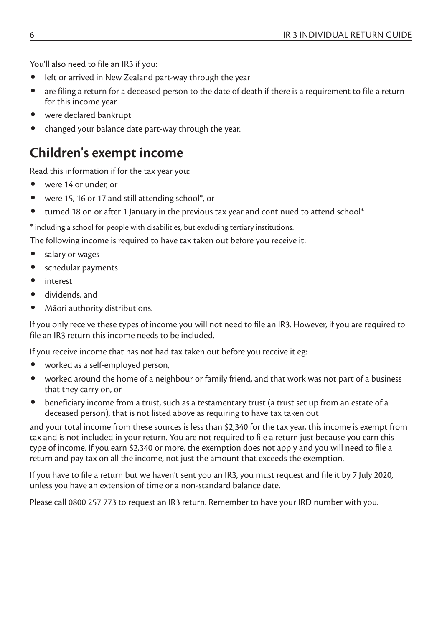You'll also need to file an IR3 if you:

- left or arrived in New Zealand part-way through the year
- are filing a return for a deceased person to the date of death if there is a requirement to file a return for this income year
- were declared bankrupt
- changed your balance date part-way through the year.

## **Children's exempt income**

Read this information if for the tax year you:

- were 14 or under, or
- were 15, 16 or 17 and still attending school\*, or
- turned 18 on or after 1 January in the previous tax year and continued to attend school\*

\* including a school for people with disabilities, but excluding tertiary institutions.

The following income is required to have tax taken out before you receive it:

- salary or wages
- schedular payments
- interest
- dividends, and
- Māori authority distributions.

If you only receive these types of income you will not need to file an IR3. However, if you are required to file an IR3 return this income needs to be included.

If you receive income that has not had tax taken out before you receive it eg:

- worked as a self-employed person,
- worked around the home of a neighbour or family friend, and that work was not part of a business that they carry on, or
- beneficiary income from a trust, such as a testamentary trust (a trust set up from an estate of a deceased person), that is not listed above as requiring to have tax taken out

and your total income from these sources is less than \$2,340 for the tax year, this income is exempt from tax and is not included in your return. You are not required to file a return just because you earn this type of income. If you earn \$2,340 or more, the exemption does not apply and you will need to file a return and pay tax on all the income, not just the amount that exceeds the exemption.

If you have to file a return but we haven't sent you an IR3, you must request and file it by 7 July 2020, unless you have an extension of time or a non-standard balance date.

Please call 0800 257 773 to request an IR3 return. Remember to have your IRD number with you.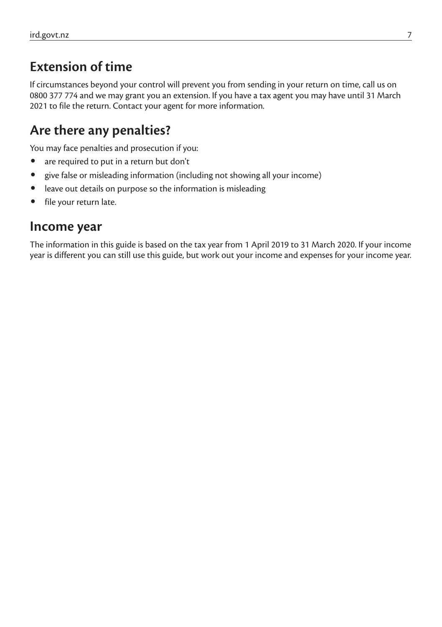## **Extension of time**

If circumstances beyond your control will prevent you from sending in your return on time, call us on 0800 377 774 and we may grant you an extension. If you have a tax agent you may have until 31 March 2021 to file the return. Contact your agent for more information.

## **Are there any penalties?**

You may face penalties and prosecution if you:

- are required to put in a return but don't
- give false or misleading information (including not showing all your income)
- leave out details on purpose so the information is misleading
- file your return late.

#### **Income year**

The information in this guide is based on the tax year from 1 April 2019 to 31 March 2020. If your income year is different you can still use this guide, but work out your income and expenses for your income year.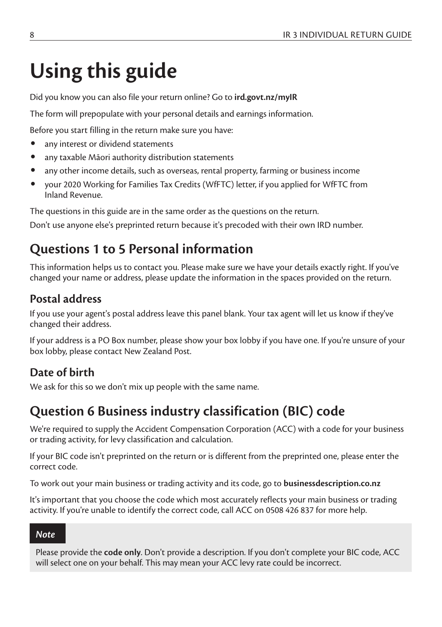# **Using this guide**

Did you know you can also file your return online? Go to **ird.govt.nz/myIR**

The form will prepopulate with your personal details and earnings information.

Before you start filling in the return make sure you have:

- any interest or dividend statements
- any taxable Māori authority distribution statements
- any other income details, such as overseas, rental property, farming or business income
- your 2020 Working for Families Tax Credits (WfFTC) letter, if you applied for WfFTC from Inland Revenue.

The questions in this guide are in the same order as the questions on the return.

Don't use anyone else's preprinted return because it's precoded with their own IRD number.

# **Questions 1 to 5 Personal information**

This information helps us to contact you. Please make sure we have your details exactly right. If you've changed your name or address, please update the information in the spaces provided on the return.

### **Postal address**

If you use your agent's postal address leave this panel blank. Your tax agent will let us know if they've changed their address.

If your address is a PO Box number, please show your box lobby if you have one. If you're unsure of your box lobby, please contact New Zealand Post.

## **Date of birth**

We ask for this so we don't mix up people with the same name.

# **Question 6 Business industry classification (BIC) code**

We're required to supply the Accident Compensation Corporation (ACC) with a code for your business or trading activity, for levy classification and calculation.

If your BIC code isn't preprinted on the return or is different from the preprinted one, please enter the correct code.

To work out your main business or trading activity and its code, go to **businessdescription.co.nz**

It's important that you choose the code which most accurately reflects your main business or trading activity. If you're unable to identify the correct code, call ACC on 0508 426 837 for more help.

#### *Note*

Please provide the **code only**. Don't provide a description. If you don't complete your BIC code, ACC will select one on your behalf. This may mean your ACC levy rate could be incorrect.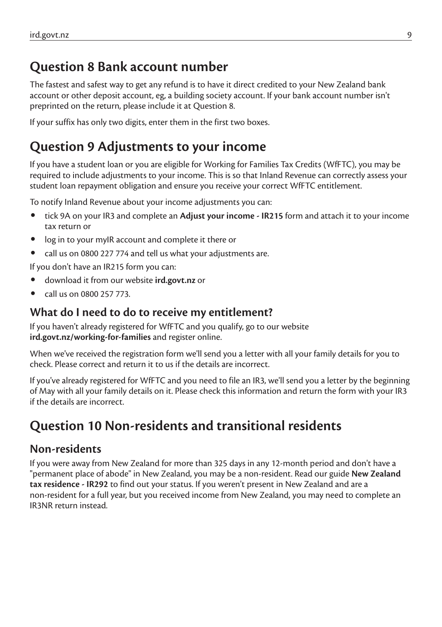## **Question 8 Bank account number**

The fastest and safest way to get any refund is to have it direct credited to your New Zealand bank account or other deposit account, eg, a building society account. If your bank account number isn't preprinted on the return, please include it at Question 8.

If your suffix has only two digits, enter them in the first two boxes.

## **Question 9 Adjustments to your income**

If you have a student loan or you are eligible for Working for Families Tax Credits (WfFTC), you may be required to include adjustments to your income. This is so that Inland Revenue can correctly assess your student loan repayment obligation and ensure you receive your correct WfFTC entitlement.

To notify Inland Revenue about your income adjustments you can:

- tick 9A on your IR3 and complete an **Adjust your income IR215** form and attach it to your income tax return or
- log in to your myIR account and complete it there or
- call us on 0800 227 774 and tell us what your adjustments are.

If you don't have an IR215 form you can:

- download it from our website **ird.govt.nz** or
- call us on 0800 257 773.

#### **What do I need to do to receive my entitlement?**

If you haven't already registered for WfFTC and you qualify, go to our website **ird.govt.nz/working-for-families** and register online.

When we've received the registration form we'll send you a letter with all your family details for you to check. Please correct and return it to us if the details are incorrect.

If you've already registered for WfFTC and you need to file an IR3, we'll send you a letter by the beginning of May with all your family details on it. Please check this information and return the form with your IR3 if the details are incorrect.

## **Question 10 Non-residents and transitional residents**

#### **Non-residents**

If you were away from New Zealand for more than 325 days in any 12-month period and don't have a "permanent place of abode" in New Zealand, you may be a non-resident. Read our guide **New Zealand tax residence - IR292** to find out your status. If you weren't present in New Zealand and are a non-resident for a full year, but you received income from New Zealand, you may need to complete an IR3NR return instead.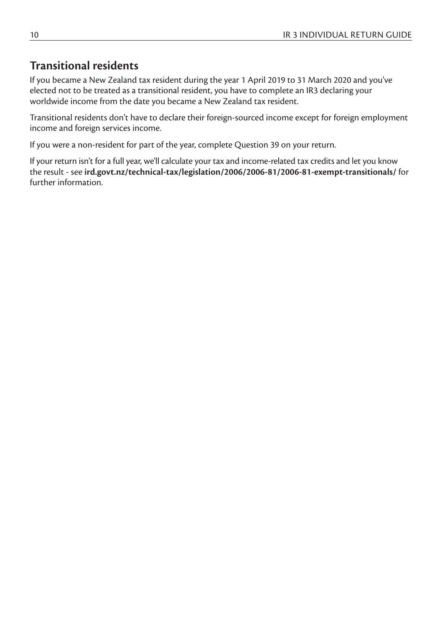## **Transitional residents**

If you became a New Zealand tax resident during the year 1 April 2019 to 31 March 2020 and you've elected not to be treated as a transitional resident, you have to complete an IR3 declaring your worldwide income from the date you became a New Zealand tax resident.

Transitional residents don't have to declare their foreign-sourced income except for foreign employment income and foreign services income.

If you were a non-resident for part of the year, complete Question 39 on your return.

If your return isn't for a full year, we'll calculate your tax and income-related tax credits and let you know the result - see **ird.govt.nz/technical-tax/legislation/2006/2006-81/2006-81-exempt-transitionals/** for further information.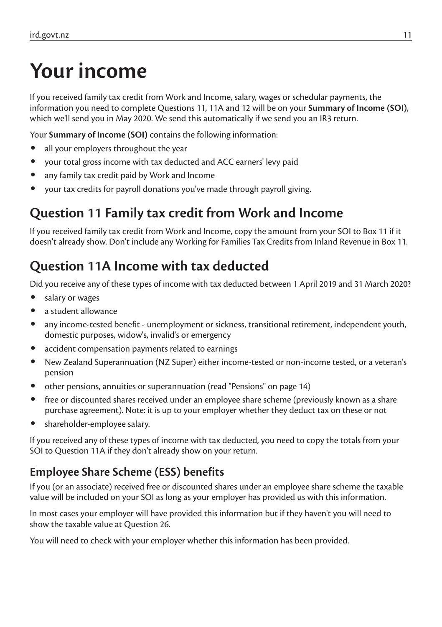# **Your income**

If you received family tax credit from Work and Income, salary, wages or schedular payments, the information you need to complete Questions 11, 11A and 12 will be on your **Summary of Income (SOI)**, which we'll send you in May 2020. We send this automatically if we send you an IR3 return.

Your **Summary of Income (SOI)** contains the following information:

- all your employers throughout the year
- your total gross income with tax deducted and ACC earners' levy paid
- any family tax credit paid by Work and Income
- your tax credits for payroll donations you've made through payroll giving.

# **Question 11 Family tax credit from Work and Income**

If you received family tax credit from Work and Income, copy the amount from your SOI to Box 11 if it doesn't already show. Don't include any Working for Families Tax Credits from Inland Revenue in Box 11.

# **Question 11A Income with tax deducted**

Did you receive any of these types of income with tax deducted between 1 April 2019 and 31 March 2020?

- salary or wages
- a student allowance
- any income-tested benefit unemployment or sickness, transitional retirement, independent youth, domestic purposes, widow's, invalid's or emergency
- accident compensation payments related to earnings
- New Zealand Superannuation (NZ Super) either income-tested or non-income tested, or a veteran's pension
- other pensions, annuities or superannuation (read "Pensions" on page 14)
- free or discounted shares received under an employee share scheme (previously known as a share purchase agreement). Note: it is up to your employer whether they deduct tax on these or not
- shareholder-employee salary.

If you received any of these types of income with tax deducted, you need to copy the totals from your SOI to Question 11A if they don't already show on your return.

## **Employee Share Scheme (ESS) benefits**

If you (or an associate) received free or discounted shares under an employee share scheme the taxable value will be included on your SOI as long as your employer has provided us with this information.

In most cases your employer will have provided this information but if they haven't you will need to show the taxable value at Question 26.

You will need to check with your employer whether this information has been provided.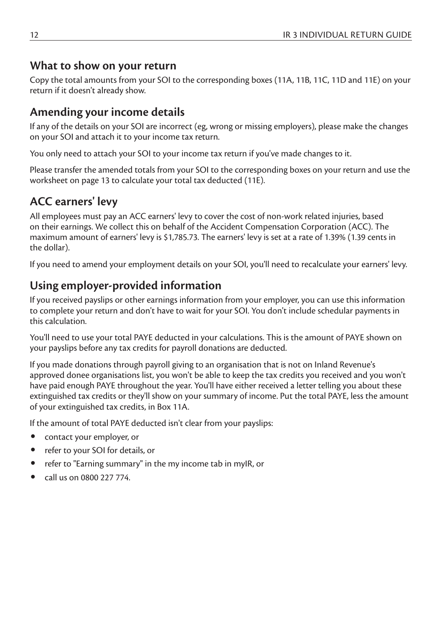#### **What to show on your return**

Copy the total amounts from your SOI to the corresponding boxes (11A, 11B, 11C, 11D and 11E) on your return if it doesn't already show.

## **Amending your income details**

If any of the details on your SOI are incorrect (eg, wrong or missing employers), please make the changes on your SOI and attach it to your income tax return.

You only need to attach your SOI to your income tax return if you've made changes to it.

Please transfer the amended totals from your SOI to the corresponding boxes on your return and use the worksheet on page 13 to calculate your total tax deducted (11E).

## **ACC earners' levy**

All employees must pay an ACC earners' levy to cover the cost of non-work related injuries, based on their earnings. We collect this on behalf of the Accident Compensation Corporation (ACC). The maximum amount of earners' levy is \$1,785.73. The earners' levy is set at a rate of 1.39% (1.39 cents in the dollar).

If you need to amend your employment details on your SOI, you'll need to recalculate your earners' levy.

## **Using employer-provided information**

If you received payslips or other earnings information from your employer, you can use this information to complete your return and don't have to wait for your SOI. You don't include schedular payments in this calculation.

You'll need to use your total PAYE deducted in your calculations. This is the amount of PAYE shown on your payslips before any tax credits for payroll donations are deducted.

If you made donations through payroll giving to an organisation that is not on Inland Revenue's approved donee organisations list, you won't be able to keep the tax credits you received and you won't have paid enough PAYE throughout the year. You'll have either received a letter telling you about these extinguished tax credits or they'll show on your summary of income. Put the total PAYE, less the amount of your extinguished tax credits, in Box 11A.

If the amount of total PAYE deducted isn't clear from your payslips:

- contact your employer, or
- refer to your SOI for details, or
- refer to "Earning summary" in the my income tab in myIR, or
- call us on 0800 227 774.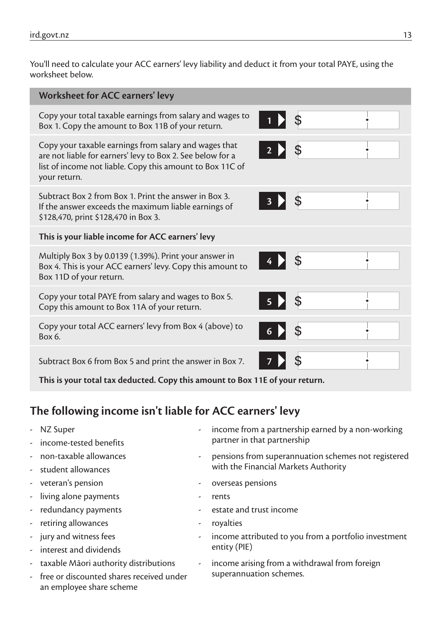You'll need to calculate your ACC earners' levy liability and deduct it from your total PAYE, using the worksheet below.

| Worksheet for ACC earners' levy                                                                                                                                                                  |            |                |  |
|--------------------------------------------------------------------------------------------------------------------------------------------------------------------------------------------------|------------|----------------|--|
| Copy your total taxable earnings from salary and wages to<br>Box 1. Copy the amount to Box 11B of your return.                                                                                   |            | $\sqrt{3}$     |  |
| Copy your taxable earnings from salary and wages that<br>are not liable for earners' levy to Box 2. See below for a<br>list of income not liable. Copy this amount to Box 11C of<br>your return. | $2 \times$ |                |  |
| Subtract Box 2 from Box 1. Print the answer in Box 3.<br>If the answer exceeds the maximum liable earnings of<br>\$128,470, print \$128,470 in Box 3.                                            | 3 > \$     |                |  |
| This is your liable income for ACC earners' levy                                                                                                                                                 |            |                |  |
| Multiply Box 3 by 0.0139 (1.39%). Print your answer in<br>Box 4. This is your ACC earners' levy. Copy this amount to<br>Box 11D of your return.                                                  | $4 >$ \$   |                |  |
| Copy your total PAYE from salary and wages to Box 5.<br>Copy this amount to Box 11A of your return.                                                                                              | <b>5 D</b> | $\mathfrak{S}$ |  |
| Copy your total ACC earners' levy from Box 4 (above) to<br>Box 6.                                                                                                                                | 6 D        |                |  |
| Subtract Box 6 from Box 5 and print the answer in Box 7.                                                                                                                                         |            |                |  |

**This is your total tax deducted. Copy this amount to Box 11E of your return.**

## **The following income isn't liable for ACC earners' levy**

- 
- 
- 
- 
- 
- living alone payments and the second section of the rents
- 
- retiring allowances and the settlement of the royalties
- 
- interest and dividends
- 
- free or discounted shares received under superannuation schemes. an employee share scheme
- NZ Super  $\sim$  income from a partnership earned by a non-working income-tested benefits **and the income-tested benefits**  $\qquad \qquad$  partner in that partnership
	- non-taxable allowances and pensions from superannuation schemes not registered student allowances and student allowances and student allowances of students are student allowances of student
	- veteran's pension and the settlement of the settlement overseas pensions
		-
	- redundancy payments and trust income contact the estate and trust income
		-
	- jury and witness fees  $\overline{\phantom{a}}$  income attributed to you from a portfolio investment<br>interest and dividends entity (PIE)
	- taxable Māori authority distributions  $\qquad \qquad$  income arising from a withdrawal from foreign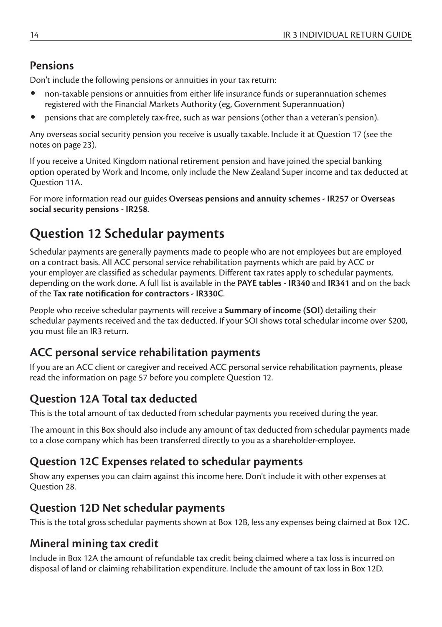## **Pensions**

Don't include the following pensions or annuities in your tax return:

- non-taxable pensions or annuities from either life insurance funds or superannuation schemes registered with the Financial Markets Authority (eg, Government Superannuation)
- pensions that are completely tax-free, such as war pensions (other than a veteran's pension).

Any overseas social security pension you receive is usually taxable. Include it at Question 17 (see the notes on page 23).

If you receive a United Kingdom national retirement pension and have joined the special banking option operated by Work and Income, only include the New Zealand Super income and tax deducted at Question 11A.

For more information read our guides **Overseas pensions and annuity schemes - IR257** or **Overseas social security pensions - IR258**.

# **Question 12 Schedular payments**

Schedular payments are generally payments made to people who are not employees but are employed on a contract basis. All ACC personal service rehabilitation payments which are paid by ACC or your employer are classified as schedular payments. Different tax rates apply to schedular payments, depending on the work done. A full list is available in the **PAYE tables - IR340** and **IR341** and on the back of the **Tax rate notification for contractors - IR330C**.

People who receive schedular payments will receive a **Summary of income (SOI)** detailing their schedular payments received and the tax deducted. If your SOI shows total schedular income over \$200, you must file an IR3 return.

### **ACC personal service rehabilitation payments**

If you are an ACC client or caregiver and received ACC personal service rehabilitation payments, please read the information on page 57 before you complete Question 12.

## **Question 12A Total tax deducted**

This is the total amount of tax deducted from schedular payments you received during the year.

The amount in this Box should also include any amount of tax deducted from schedular payments made to a close company which has been transferred directly to you as a shareholder-employee.

### **Question 12C Expenses related to schedular payments**

Show any expenses you can claim against this income here. Don't include it with other expenses at Question 28.

### **Question 12D Net schedular payments**

This is the total gross schedular payments shown at Box 12B, less any expenses being claimed at Box 12C.

## **Mineral mining tax credit**

Include in Box 12A the amount of refundable tax credit being claimed where a tax loss is incurred on disposal of land or claiming rehabilitation expenditure. Include the amount of tax loss in Box 12D.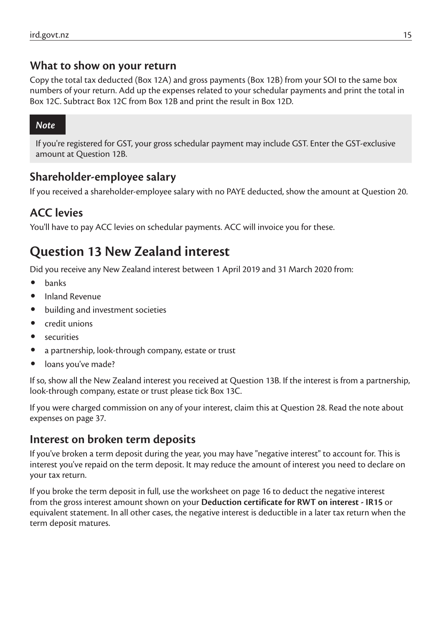#### **What to show on your return**

Copy the total tax deducted (Box 12A) and gross payments (Box 12B) from your SOI to the same box numbers of your return. Add up the expenses related to your schedular payments and print the total in Box 12C. Subtract Box 12C from Box 12B and print the result in Box 12D.

#### *Note*

If you're registered for GST, your gross schedular payment may include GST. Enter the GST-exclusive amount at Question 12B.

#### **Shareholder-employee salary**

If you received a shareholder-employee salary with no PAYE deducted, show the amount at Question 20.

### **ACC levies**

You'll have to pay ACC levies on schedular payments. ACC will invoice you for these.

## **Question 13 New Zealand interest**

Did you receive any New Zealand interest between 1 April 2019 and 31 March 2020 from:

- banks
- Inland Revenue
- building and investment societies
- credit unions
- **securities**
- a partnership, look-through company, estate or trust
- loans you've made?

If so, show all the New Zealand interest you received at Question 13B. If the interest is from a partnership, look-through company, estate or trust please tick Box 13C.

If you were charged commission on any of your interest, claim this at Question 28. Read the note about expenses on page 37.

#### **Interest on broken term deposits**

If you've broken a term deposit during the year, you may have "negative interest" to account for. This is interest you've repaid on the term deposit. It may reduce the amount of interest you need to declare on your tax return.

If you broke the term deposit in full, use the worksheet on page 16 to deduct the negative interest from the gross interest amount shown on your **Deduction certificate for RWT on interest - IR15** or equivalent statement. In all other cases, the negative interest is deductible in a later tax return when the term deposit matures.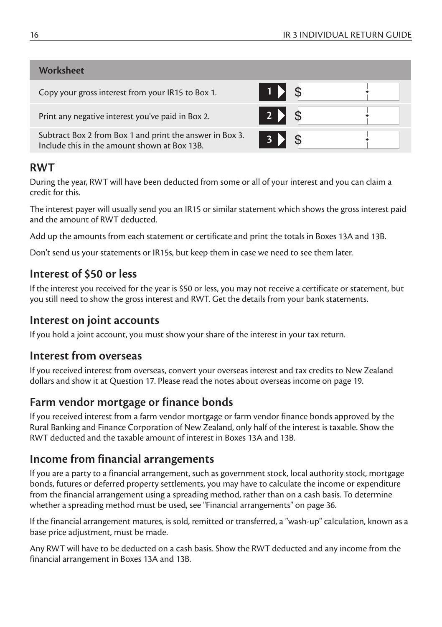#### **Worksheet**

| $1$ $\blacksquare$ |  |
|--------------------|--|
| $2$ > $\sqrt{3}$   |  |
| <b>3</b>           |  |
|                    |  |

#### **RWT**

During the year, RWT will have been deducted from some or all of your interest and you can claim a credit for this.

The interest payer will usually send you an IR15 or similar statement which shows the gross interest paid and the amount of RWT deducted.

Add up the amounts from each statement or certificate and print the totals in Boxes 13A and 13B.

Don't send us your statements or IR15s, but keep them in case we need to see them later.

#### **Interest of \$50 or less**

If the interest you received for the year is \$50 or less, you may not receive a certificate or statement, but you still need to show the gross interest and RWT. Get the details from your bank statements.

#### **Interest on joint accounts**

If you hold a joint account, you must show your share of the interest in your tax return.

#### **Interest from overseas**

If you received interest from overseas, convert your overseas interest and tax credits to New Zealand dollars and show it at Question 17. Please read the notes about overseas income on page 19.

#### **Farm vendor mortgage or finance bonds**

If you received interest from a farm vendor mortgage or farm vendor finance bonds approved by the Rural Banking and Finance Corporation of New Zealand, only half of the interest is taxable. Show the RWT deducted and the taxable amount of interest in Boxes 13A and 13B.

#### **Income from financial arrangements**

If you are a party to a financial arrangement, such as government stock, local authority stock, mortgage bonds, futures or deferred property settlements, you may have to calculate the income or expenditure from the financial arrangement using a spreading method, rather than on a cash basis. To determine whether a spreading method must be used, see "Financial arrangements" on page 36.

If the financial arrangement matures, is sold, remitted or transferred, a "wash-up" calculation, known as a base price adjustment, must be made.

Any RWT will have to be deducted on a cash basis. Show the RWT deducted and any income from the financial arrangement in Boxes 13A and 13B.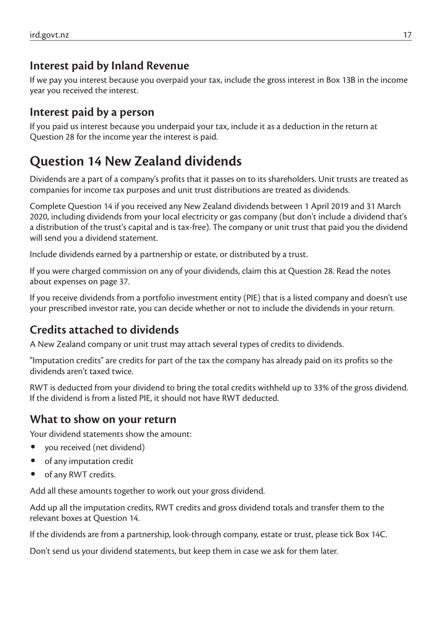### **Interest paid by Inland Revenue**

If we pay you interest because you overpaid your tax, include the gross interest in Box 13B in the income year you received the interest.

### **Interest paid by a person**

If you paid us interest because you underpaid your tax, include it as a deduction in the return at Question 28 for the income year the interest is paid.

# **Question 14 New Zealand dividends**

Dividends are a part of a company's profits that it passes on to its shareholders. Unit trusts are treated as companies for income tax purposes and unit trust distributions are treated as dividends.

Complete Question 14 if you received any New Zealand dividends between 1 April 2019 and 31 March 2020, including dividends from your local electricity or gas company (but don't include a dividend that's a distribution of the trust's capital and is tax-free). The company or unit trust that paid you the dividend will send you a dividend statement.

Include dividends earned by a partnership or estate, or distributed by a trust.

If you were charged commission on any of your dividends, claim this at Question 28. Read the notes about expenses on page 37.

If you receive dividends from a portfolio investment entity (PIE) that is a listed company and doesn't use your prescribed investor rate, you can decide whether or not to include the dividends in your return.

## **Credits attached to dividends**

A New Zealand company or unit trust may attach several types of credits to dividends.

"Imputation credits" are credits for part of the tax the company has already paid on its profits so the dividends aren't taxed twice.

RWT is deducted from your dividend to bring the total credits withheld up to 33% of the gross dividend. If the dividend is from a listed PIE, it should not have RWT deducted.

#### **What to show on your return**

Your dividend statements show the amount:

- you received (net dividend)
- of any imputation credit
- of any RWT credits.

Add all these amounts together to work out your gross dividend.

Add up all the imputation credits, RWT credits and gross dividend totals and transfer them to the relevant boxes at Question 14.

If the dividends are from a partnership, look-through company, estate or trust, please tick Box 14C.

Don't send us your dividend statements, but keep them in case we ask for them later.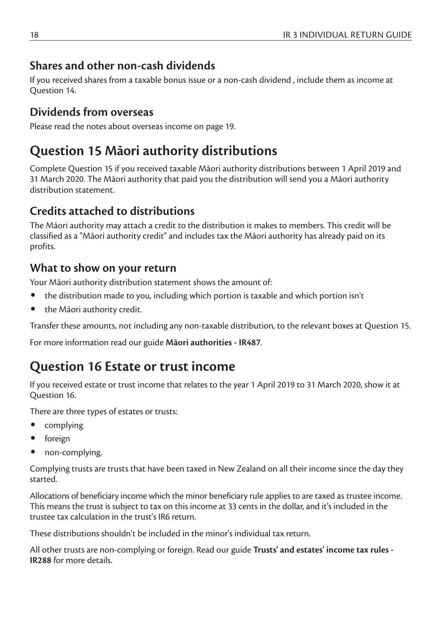## **Shares and other non-cash dividends**

If you received shares from a taxable bonus issue or a non-cash dividend , include them as income at Question 14.

### **Dividends from overseas**

Please read the notes about overseas income on page 19.

# **Question 15 Māori authority distributions**

Complete Question 15 if you received taxable Māori authority distributions between 1 April 2019 and 31 March 2020. The Māori authority that paid you the distribution will send you a Māori authority distribution statement.

## **Credits attached to distributions**

The Māori authority may attach a credit to the distribution it makes to members. This credit will be classified as a "Māori authority credit" and includes tax the Māori authority has already paid on its profits.

## **What to show on your return**

Your Māori authority distribution statement shows the amount of:

- the distribution made to you, including which portion is taxable and which portion isn't
- the Māori authority credit.

Transfer these amounts, not including any non-taxable distribution, to the relevant boxes at Question 15.

For more information read our guide **Māori authorities - IR487**.

# **Question 16 Estate or trust income**

If you received estate or trust income that relates to the year 1 April 2019 to 31 March 2020, show it at Question 16.

There are three types of estates or trusts:

- complying
- foreign
- non-complying.

Complying trusts are trusts that have been taxed in New Zealand on all their income since the day they started.

Allocations of beneficiary income which the minor beneficiary rule applies to are taxed as trustee income. This means the trust is subject to tax on this income at 33 cents in the dollar, and it's included in the trustee tax calculation in the trust's IR6 return.

These distributions shouldn't be included in the minor's individual tax return.

All other trusts are non-complying or foreign. Read our guide **Trusts' and estates' income tax rules - IR288** for more details.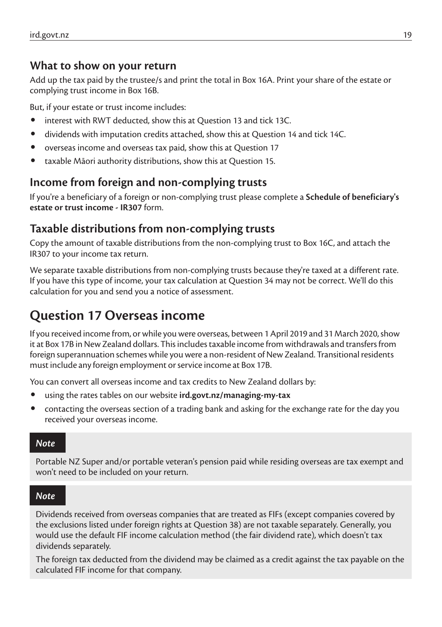#### **What to show on your return**

Add up the tax paid by the trustee/s and print the total in Box 16A. Print your share of the estate or complying trust income in Box 16B.

But, if your estate or trust income includes:

- interest with RWT deducted, show this at Question 13 and tick 13C.
- dividends with imputation credits attached, show this at Question 14 and tick 14C.
- overseas income and overseas tax paid, show this at Question 17
- taxable Māori authority distributions, show this at Question 15.

#### **Income from foreign and non-complying trusts**

If you're a beneficiary of a foreign or non-complying trust please complete a **Schedule of beneficiary's estate or trust income - IR307** form.

#### **Taxable distributions from non-complying trusts**

Copy the amount of taxable distributions from the non-complying trust to Box 16C, and attach the IR307 to your income tax return.

We separate taxable distributions from non-complying trusts because they're taxed at a different rate. If you have this type of income, your tax calculation at Question 34 may not be correct. We'll do this calculation for you and send you a notice of assessment.

# **Question 17 Overseas income**

If you received income from, or while you were overseas, between 1 April 2019 and 31 March 2020, show it at Box 17B in NewZealand dollars. This includes taxable income from withdrawals and transfers from foreign superannuation schemes while you were a non-resident of New Zealand. Transitional residents must include any foreign employment or service income at Box 17B.

You can convert all overseas income and tax credits to New Zealand dollars by:

- using the rates tables on our website **ird.govt.nz/managing-my-tax**
- contacting the overseas section of a trading bank and asking for the exchange rate for the day you received your overseas income.

#### *Note*

Portable NZ Super and/or portable veteran's pension paid while residing overseas are tax exempt and won't need to be included on your return.

#### *Note*

Dividends received from overseas companies that are treated as FIFs (except companies covered by the exclusions listed under foreign rights at Question 38) are not taxable separately. Generally, you would use the default FIF income calculation method (the fair dividend rate), which doesn't tax dividends separately.

The foreign tax deducted from the dividend may be claimed as a credit against the tax payable on the calculated FIF income for that company.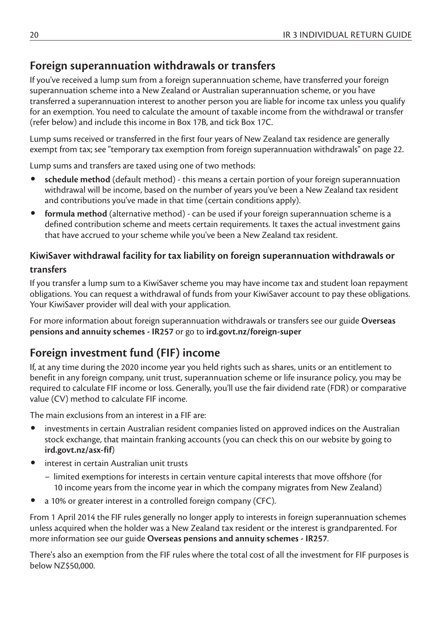### **Foreign superannuation withdrawals or transfers**

If you've received a lump sum from a foreign superannuation scheme, have transferred your foreign superannuation scheme into a New Zealand or Australian superannuation scheme, or you have transferred a superannuation interest to another person you are liable for income tax unless you qualify for an exemption. You need to calculate the amount of taxable income from the withdrawal or transfer (refer below) and include this income in Box 17B, and tick Box 17C.

Lump sums received or transferred in the first four years of New Zealand tax residence are generally exempt from tax; see "temporary tax exemption from foreign superannuation withdrawals" on page 22.

Lump sums and transfers are taxed using one of two methods:

- **schedule method** (default method) this means a certain portion of your foreign superannuation withdrawal will be income, based on the number of years you've been a New Zealand tax resident and contributions you've made in that time (certain conditions apply).
- **formula method** (alternative method) can be used if your foreign superannuation scheme is a defined contribution scheme and meets certain requirements. It taxes the actual investment gains that have accrued to your scheme while you've been a New Zealand tax resident.

#### **KiwiSaver withdrawal facility for tax liability on foreign superannuation withdrawals or transfers**

If you transfer a lump sum to a KiwiSaver scheme you may have income tax and student loan repayment obligations. You can request a withdrawal of funds from your KiwiSaver account to pay these obligations. Your KiwiSaver provider will deal with your application.

For more information about foreign superannuation withdrawals or transfers see our guide **Overseas pensions and annuity schemes - IR257** or go to **ird.govt.nz/foreign-super**

### **Foreign investment fund (FIF) income**

If, at any time during the 2020 income year you held rights such as shares, units or an entitlement to benefit in any foreign company, unit trust, superannuation scheme or life insurance policy, you may be required to calculate FIF income or loss. Generally, you'll use the fair dividend rate (FDR) or comparative value (CV) method to calculate FIF income.

The main exclusions from an interest in a FIF are:

- investments in certain Australian resident companies listed on approved indices on the Australian stock exchange, that maintain franking accounts (you can check this on our website by going to **ird.govt.nz/asx-fif**)
- interest in certain Australian unit trusts
	- limited exemptions for interests in certain venture capital interests that move offshore (for 10 income years from the income year in which the company migrates from New Zealand)
- a 10% or greater interest in a controlled foreign company (CFC).

From 1 April 2014 the FIF rules generally no longer apply to interests in foreign superannuation schemes unless acquired when the holder was a New Zealand tax resident or the interest is grandparented. For more information see our guide **Overseas pensions and annuity schemes - IR257**.

There's also an exemption from the FIF rules where the total cost of all the investment for FIF purposes is below NZ\$50,000.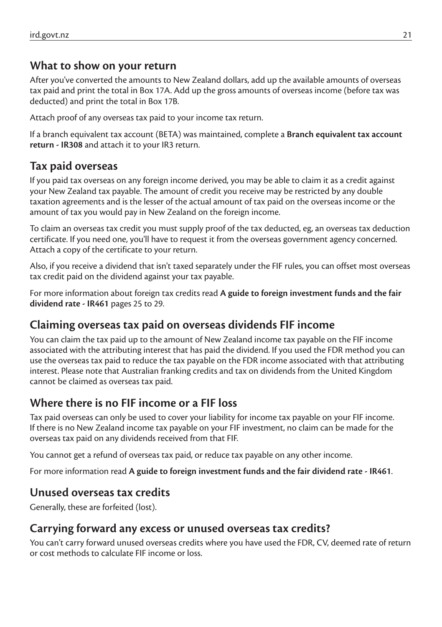#### **What to show on your return**

After you've converted the amounts to New Zealand dollars, add up the available amounts of overseas tax paid and print the total in Box 17A. Add up the gross amounts of overseas income (before tax was deducted) and print the total in Box 17B.

Attach proof of any overseas tax paid to your income tax return.

If a branch equivalent tax account (BETA) was maintained, complete a **Branch equivalent tax account return - IR308** and attach it to your IR3 return.

### **Tax paid overseas**

If you paid tax overseas on any foreign income derived, you may be able to claim it as a credit against your New Zealand tax payable. The amount of credit you receive may be restricted by any double taxation agreements and is the lesser of the actual amount of tax paid on the overseas income or the amount of tax you would pay in New Zealand on the foreign income.

To claim an overseas tax credit you must supply proof of the tax deducted, eg, an overseas tax deduction certificate. If you need one, you'll have to request it from the overseas government agency concerned. Attach a copy of the certificate to your return.

Also, if you receive a dividend that isn't taxed separately under the FIF rules, you can offset most overseas tax credit paid on the dividend against your tax payable.

For more information about foreign tax credits read **A guide to foreign investment funds and the fair dividend rate - IR461** pages 25 to 29.

#### **Claiming overseas tax paid on overseas dividends FIF income**

You can claim the tax paid up to the amount of New Zealand income tax payable on the FIF income associated with the attributing interest that has paid the dividend. If you used the FDR method you can use the overseas tax paid to reduce the tax payable on the FDR income associated with that attributing interest. Please note that Australian franking credits and tax on dividends from the United Kingdom cannot be claimed as overseas tax paid.

### **Where there is no FIF income or a FIF loss**

Tax paid overseas can only be used to cover your liability for income tax payable on your FIF income. If there is no New Zealand income tax payable on your FIF investment, no claim can be made for the overseas tax paid on any dividends received from that FIF.

You cannot get a refund of overseas tax paid, or reduce tax payable on any other income.

For more information read **A guide to foreign investment funds and the fair dividend rate - IR461**.

#### **Unused overseas tax credits**

Generally, these are forfeited (lost).

#### **Carrying forward any excess or unused overseas tax credits?**

You can't carry forward unused overseas credits where you have used the FDR, CV, deemed rate of return or cost methods to calculate FIF income or loss.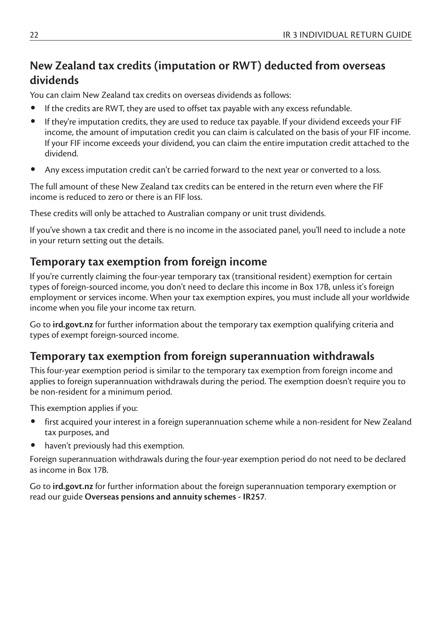## **New Zealand tax credits (imputation or RWT) deducted from overseas dividends**

You can claim New Zealand tax credits on overseas dividends as follows:

- If the credits are RWT, they are used to offset tax payable with any excess refundable.
- If they're imputation credits, they are used to reduce tax payable. If your dividend exceeds your FIF income, the amount of imputation credit you can claim is calculated on the basis of your FIF income. If your FIF income exceeds your dividend, you can claim the entire imputation credit attached to the dividend.
- Any excess imputation credit can't be carried forward to the next year or converted to a loss.

The full amount of these New Zealand tax credits can be entered in the return even where the FIF income is reduced to zero or there is an FIF loss.

These credits will only be attached to Australian company or unit trust dividends.

If you've shown a tax credit and there is no income in the associated panel, you'll need to include a note in your return setting out the details.

#### **Temporary tax exemption from foreign income**

If you're currently claiming the four-year temporary tax (transitional resident) exemption for certain types of foreign-sourced income, you don't need to declare this income in Box 17B, unless it's foreign employment or services income. When your tax exemption expires, you must include all your worldwide income when you file your income tax return.

Go to **ird.govt.nz** for further information about the temporary tax exemption qualifying criteria and types of exempt foreign-sourced income.

#### **Temporary tax exemption from foreign superannuation withdrawals**

This four-year exemption period is similar to the temporary tax exemption from foreign income and applies to foreign superannuation withdrawals during the period. The exemption doesn't require you to be non-resident for a minimum period.

This exemption applies if you:

- first acquired your interest in a foreign superannuation scheme while a non-resident for New Zealand tax purposes, and
- haven't previously had this exemption.

Foreign superannuation withdrawals during the four-year exemption period do not need to be declared as income in Box 17B.

Go to **ird.govt.nz** for further information about the foreign superannuation temporary exemption or read our guide **Overseas pensions and annuity schemes - IR257**.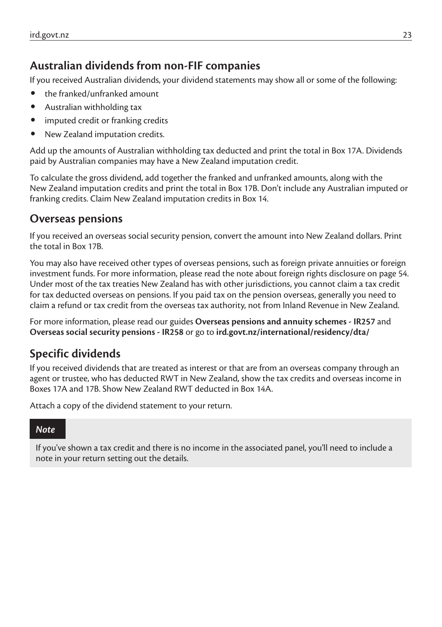#### **Australian dividends from non-FIF companies**

If you received Australian dividends, your dividend statements may show all or some of the following:

- the franked/unfranked amount
- Australian withholding tax
- imputed credit or franking credits
- New Zealand imputation credits.

Add up the amounts of Australian withholding tax deducted and print the total in Box 17A. Dividends paid by Australian companies may have a New Zealand imputation credit.

To calculate the gross dividend, add together the franked and unfranked amounts, along with the New Zealand imputation credits and print the total in Box 17B. Don't include any Australian imputed or franking credits. Claim New Zealand imputation credits in Box 14.

#### **Overseas pensions**

If you received an overseas social security pension, convert the amount into New Zealand dollars. Print the total in Box 17B.

You may also have received other types of overseas pensions, such as foreign private annuities or foreign investment funds. For more information, please read the note about foreign rights disclosure on page 54. Under most of the tax treaties New Zealand has with other jurisdictions, you cannot claim a tax credit for tax deducted overseas on pensions. If you paid tax on the pension overseas, generally you need to claim a refund or tax credit from the overseas tax authority, not from Inland Revenue in New Zealand.

For more information, please read our guides **Overseas pensions and annuity schemes - IR257** and **Overseas social security pensions - IR258** or go to **ird.govt.nz/international/residency/dta/**

### **Specific dividends**

If you received dividends that are treated as interest or that are from an overseas company through an agent or trustee, who has deducted RWT in New Zealand, show the tax credits and overseas income in Boxes 17A and 17B. Show New Zealand RWT deducted in Box 14A.

Attach a copy of the dividend statement to your return.

#### *Note*

If you've shown a tax credit and there is no income in the associated panel, you'll need to include a note in your return setting out the details.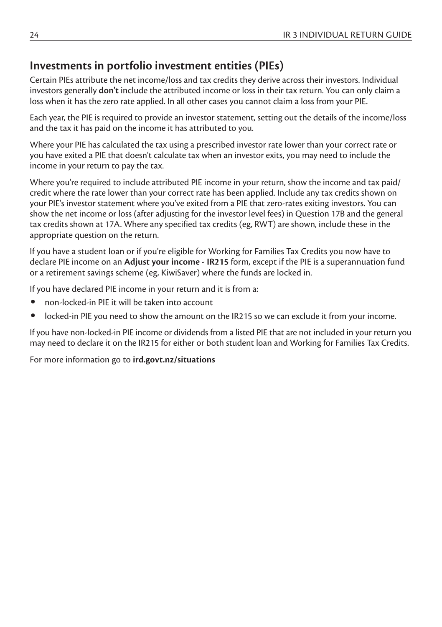### **Investments in portfolio investment entities (PIEs)**

Certain PIEs attribute the net income/loss and tax credits they derive across their investors. Individual investors generally **don't** include the attributed income or loss in their tax return. You can only claim a loss when it has the zero rate applied. In all other cases you cannot claim a loss from your PIE.

Each year, the PIE is required to provide an investor statement, setting out the details of the income/loss and the tax it has paid on the income it has attributed to you.

Where your PIE has calculated the tax using a prescribed investor rate lower than your correct rate or you have exited a PIE that doesn't calculate tax when an investor exits, you may need to include the income in your return to pay the tax.

Where you're required to include attributed PIE income in your return, show the income and tax paid/ credit where the rate lower than your correct rate has been applied. Include any tax credits shown on your PIE's investor statement where you've exited from a PIE that zero-rates exiting investors. You can show the net income or loss (after adjusting for the investor level fees) in Question 17B and the general tax credits shown at 17A. Where any specified tax credits (eg, RWT) are shown, include these in the appropriate question on the return.

If you have a student loan or if you're eligible for Working for Families Tax Credits you now have to declare PIE income on an **Adjust your income - IR215** form, except if the PIE is a superannuation fund or a retirement savings scheme (eg, KiwiSaver) where the funds are locked in.

If you have declared PIE income in your return and it is from a:

- non-locked-in PIE it will be taken into account
- locked-in PIE you need to show the amount on the IR215 so we can exclude it from your income.

If you have non-locked-in PIE income or dividends from a listed PIE that are not included in your return you may need to declare it on the IR215 for either or both student loan and Working for Families Tax Credits.

For more information go to **ird.govt.nz/situations**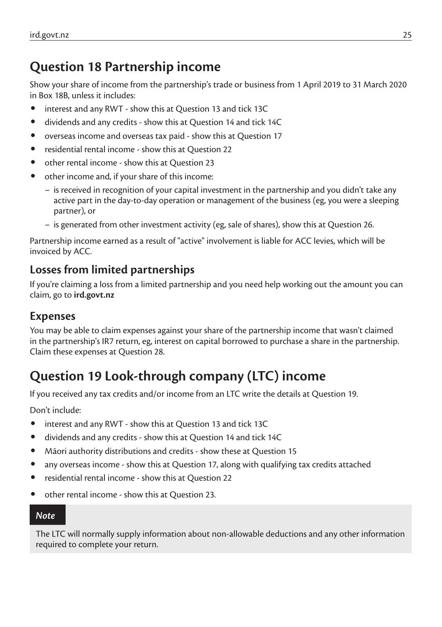# **Question 18 Partnership income**

Show your share of income from the partnership's trade or business from 1 April 2019 to 31 March 2020 in Box 18B, unless it includes:

- interest and any RWT show this at Question 13 and tick 13C
- dividends and any credits show this at Question 14 and tick 14C
- overseas income and overseas tax paid show this at Question 17
- residential rental income show this at Question 22
- other rental income show this at Question 23
- other income and, if your share of this income:
	- is received in recognition of your capital investment in the partnership and you didn't take any active part in the day-to-day operation or management of the business (eg, you were a sleeping partner), or
	- is generated from other investment activity (eg, sale of shares), show this at Question 26.

Partnership income earned as a result of "active" involvement is liable for ACC levies, which will be invoiced by ACC.

## **Losses from limited partnerships**

If you're claiming a loss from a limited partnership and you need help working out the amount you can claim, go to **ird.govt.nz**

#### **Expenses**

You may be able to claim expenses against your share of the partnership income that wasn't claimed in the partnership's IR7 return, eg, interest on capital borrowed to purchase a share in the partnership. Claim these expenses at Question 28.

# **Question 19 Look-through company (LTC) income**

If you received any tax credits and/or income from an LTC write the details at Question 19.

Don't include:

- interest and any RWT show this at Question 13 and tick 13C
- dividends and any credits show this at Question 14 and tick 14C
- Māori authority distributions and credits show these at Question 15
- any overseas income show this at Question 17, along with qualifying tax credits attached
- residential rental income show this at Question 22
- other rental income show this at Question 23.

#### *Note*

The LTC will normally supply information about non-allowable deductions and any other information required to complete your return.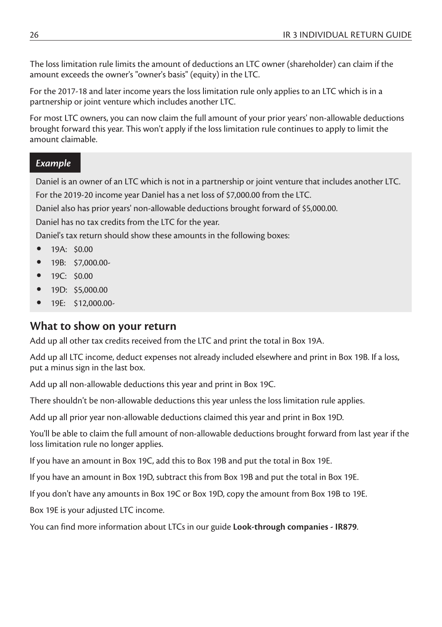The loss limitation rule limits the amount of deductions an LTC owner (shareholder) can claim if the amount exceeds the owner's "owner's basis" (equity) in the LTC.

For the 2017-18 and later income years the loss limitation rule only applies to an LTC which is in a partnership or joint venture which includes another LTC.

For most LTC owners, you can now claim the full amount of your prior years' non-allowable deductions brought forward this year. This won't apply if the loss limitation rule continues to apply to limit the amount claimable.

#### *Example*

Daniel is an owner of an LTC which is not in a partnership or joint venture that includes another LTC. For the 2019-20 income year Daniel has a net loss of \$7,000.00 from the LTC.

Daniel also has prior years' non-allowable deductions brought forward of \$5,000.00.

Daniel has no tax credits from the LTC for the year.

Daniel's tax return should show these amounts in the following boxes:

- $19A \cdot 50.00$
- 19B: \$7,000.00-
- 19C: \$0.00
- 19D: \$5,000.00
- 19E: \$12,000.00-

#### **What to show on your return**

Add up all other tax credits received from the LTC and print the total in Box 19A.

Add up all LTC income, deduct expenses not already included elsewhere and print in Box 19B. If a loss, put a minus sign in the last box.

Add up all non-allowable deductions this year and print in Box 19C.

There shouldn't be non-allowable deductions this year unless the loss limitation rule applies.

Add up all prior year non-allowable deductions claimed this year and print in Box 19D.

You'll be able to claim the full amount of non-allowable deductions brought forward from last year if the loss limitation rule no longer applies.

If you have an amount in Box 19C, add this to Box 19B and put the total in Box 19E.

If you have an amount in Box 19D, subtract this from Box 19B and put the total in Box 19E.

If you don't have any amounts in Box 19C or Box 19D, copy the amount from Box 19B to 19E.

Box 19E is your adjusted LTC income.

You can find more information about LTCs in our guide **Look-through companies - IR879**.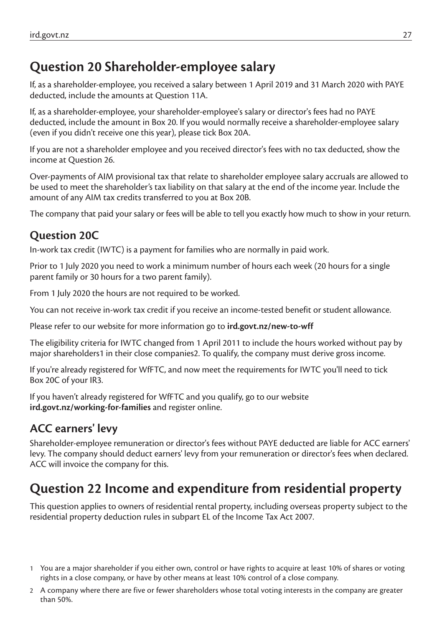# **Question 20 Shareholder-employee salary**

If, as a shareholder-employee, you received a salary between 1 April 2019 and 31 March 2020 with PAYE deducted, include the amounts at Question 11A.

If, as a shareholder-employee, your shareholder-employee's salary or director's fees had no PAYE deducted, include the amount in Box 20. If you would normally receive a shareholder-employee salary (even if you didn't receive one this year), please tick Box 20A.

If you are not a shareholder employee and you received director's fees with no tax deducted, show the income at Question 26.

Over-payments of AIM provisional tax that relate to shareholder employee salary accruals are allowed to be used to meet the shareholder's tax liability on that salary at the end of the income year. Include the amount of any AIM tax credits transferred to you at Box 20B.

The company that paid your salary or fees will be able to tell you exactly how much to show in your return.

## **Question 20C**

In-work tax credit (IWTC) is a payment for families who are normally in paid work.

Prior to 1 July 2020 you need to work a minimum number of hours each week (20 hours for a single parent family or 30 hours for a two parent family).

From 1 July 2020 the hours are not required to be worked.

You can not receive in-work tax credit if you receive an income-tested benefit or student allowance.

Please refer to our website for more information go to **ird.govt.nz/new-to-wff**

The eligibility criteria for IWTC changed from 1 April 2011 to include the hours worked without pay by major shareholders1 in their close companies2. To qualify, the company must derive gross income.

If you're already registered for WfFTC, and now meet the requirements for IWTC you'll need to tick Box 20C of your IR3.

If you haven't already registered for WfFTC and you qualify, go to our website **ird.govt.nz/working-for-families** and register online.

## **ACC earners' levy**

Shareholder-employee remuneration or director's fees without PAYE deducted are liable for ACC earners' levy. The company should deduct earners' levy from your remuneration or director's fees when declared. ACC will invoice the company for this.

# **Question 22 Income and expenditure from residential property**

This question applies to owners of residential rental property, including overseas property subject to the residential property deduction rules in subpart EL of the Income Tax Act 2007.

- 1 You are a major shareholder if you either own, control or have rights to acquire at least 10% of shares or voting rights in a close company, or have by other means at least 10% control of a close company.
- 2 A company where there are five or fewer shareholders whose total voting interests in the company are greater than 50%.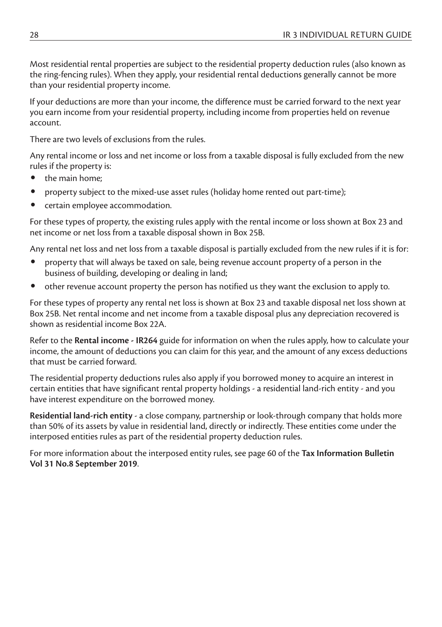Most residential rental properties are subject to the residential property deduction rules (also known as the ring-fencing rules). When they apply, your residential rental deductions generally cannot be more than your residential property income.

If your deductions are more than your income, the difference must be carried forward to the next year you earn income from your residential property, including income from properties held on revenue account.

There are two levels of exclusions from the rules.

Any rental income or loss and net income or loss from a taxable disposal is fully excluded from the new rules if the property is:

- the main home;
- property subject to the mixed-use asset rules (holiday home rented out part-time);
- certain employee accommodation.

For these types of property, the existing rules apply with the rental income or loss shown at Box 23 and net income or net loss from a taxable disposal shown in Box 25B.

Any rental net loss and net loss from a taxable disposal is partially excluded from the new rules if it is for:

- property that will always be taxed on sale, being revenue account property of a person in the business of building, developing or dealing in land;
- other revenue account property the person has notified us they want the exclusion to apply to.

For these types of property any rental net loss is shown at Box 23 and taxable disposal net loss shown at Box 25B. Net rental income and net income from a taxable disposal plus any depreciation recovered is shown as residential income Box 22A.

Refer to the **Rental income - IR264** guide for information on when the rules apply, how to calculate your income, the amount of deductions you can claim for this year, and the amount of any excess deductions that must be carried forward.

The residential property deductions rules also apply if you borrowed money to acquire an interest in certain entities that have significant rental property holdings - a residential land-rich entity - and you have interest expenditure on the borrowed money.

**Residential land-rich entity** - a close company, partnership or look-through company that holds more than 50% of its assets by value in residential land, directly or indirectly. These entities come under the interposed entities rules as part of the residential property deduction rules.

For more information about the interposed entity rules, see page 60 of the **Tax Information Bulletin Vol 31 No.8 September 2019**.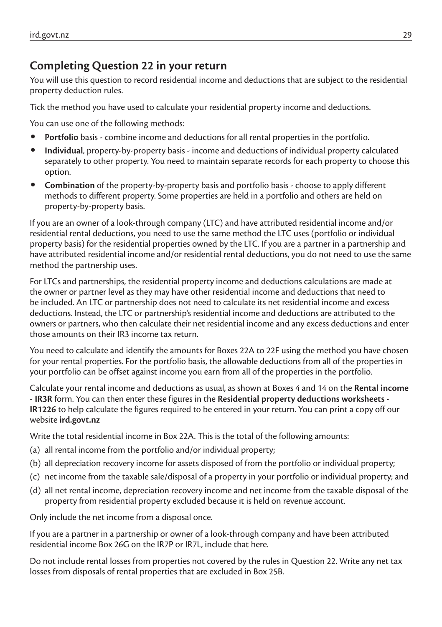#### **Completing Question 22 in your return**

You will use this question to record residential income and deductions that are subject to the residential property deduction rules.

Tick the method you have used to calculate your residential property income and deductions.

You can use one of the following methods:

- **Portfolio** basis combine income and deductions for all rental properties in the portfolio.
- **Individual**, property-by-property basis income and deductions of individual property calculated separately to other property. You need to maintain separate records for each property to choose this option.
- **Combination** of the property-by-property basis and portfolio basis choose to apply different methods to different property. Some properties are held in a portfolio and others are held on property-by-property basis.

If you are an owner of a look-through company (LTC) and have attributed residential income and/or residential rental deductions, you need to use the same method the LTC uses (portfolio or individual property basis) for the residential properties owned by the LTC. If you are a partner in a partnership and have attributed residential income and/or residential rental deductions, you do not need to use the same method the partnership uses.

For LTCs and partnerships, the residential property income and deductions calculations are made at the owner or partner level as they may have other residential income and deductions that need to be included. An LTC or partnership does not need to calculate its net residential income and excess deductions. Instead, the LTC or partnership's residential income and deductions are attributed to the owners or partners, who then calculate their net residential income and any excess deductions and enter those amounts on their IR3 income tax return.

You need to calculate and identify the amounts for Boxes 22A to 22F using the method you have chosen for your rental properties. For the portfolio basis, the allowable deductions from all of the properties in your portfolio can be offset against income you earn from all of the properties in the portfolio.

Calculate your rental income and deductions as usual, as shown at Boxes 4 and 14 on the **Rental income - IR3R** form. You can then enter these figures in the **Residential property deductions worksheets - IR1226** to help calculate the figures required to be entered in your return. You can print a copy off our website **ird.govt.nz**

Write the total residential income in Box 22A. This is the total of the following amounts:

- (a) all rental income from the portfolio and/or individual property;
- (b) all depreciation recovery income for assets disposed of from the portfolio or individual property;
- (c) net income from the taxable sale/disposal of a property in your portfolio or individual property; and
- (d) all net rental income, depreciation recovery income and net income from the taxable disposal of the property from residential property excluded because it is held on revenue account.

Only include the net income from a disposal once.

If you are a partner in a partnership or owner of a look-through company and have been attributed residential income Box 26G on the IR7P or IR7L, include that here.

Do not include rental losses from properties not covered by the rules in Question 22. Write any net tax losses from disposals of rental properties that are excluded in Box 25B.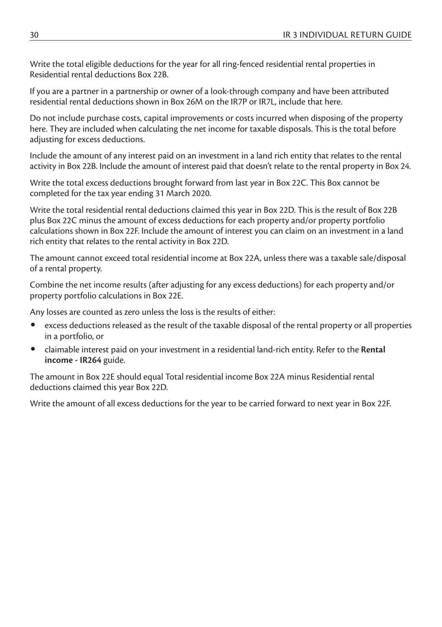Write the total eligible deductions for the year for all ring-fenced residential rental properties in Residential rental deductions Box 22B.

If you are a partner in a partnership or owner of a look-through company and have been attributed residential rental deductions shown in Box 26M on the IR7P or IR7L, include that here.

Do not include purchase costs, capital improvements or costs incurred when disposing of the property here. They are included when calculating the net income for taxable disposals. This is the total before adjusting for excess deductions.

Include the amount of any interest paid on an investment in a land rich entity that relates to the rental activity in Box 22B. Include the amount of interest paid that doesn't relate to the rental property in Box 24.

Write the total excess deductions brought forward from last year in Box 22C. This Box cannot be completed for the tax year ending 31 March 2020.

Write the total residential rental deductions claimed this year in Box 22D. This is the result of Box 22B plus Box 22C minus the amount of excess deductions for each property and/or property portfolio calculations shown in Box 22F. Include the amount of interest you can claim on an investment in a land rich entity that relates to the rental activity in Box 22D.

The amount cannot exceed total residential income at Box 22A, unless there was a taxable sale/disposal of a rental property.

Combine the net income results (after adjusting for any excess deductions) for each property and/or property portfolio calculations in Box 22E.

Any losses are counted as zero unless the loss is the results of either:

- excess deductions released as the result of the taxable disposal of the rental property or all properties in a portfolio, or
- claimable interest paid on your investment in a residential land-rich entity. Refer to the **Rental income - IR264** guide.

The amount in Box 22E should equal Total residential income Box 22A minus Residential rental deductions claimed this year Box 22D.

Write the amount of all excess deductions for the year to be carried forward to next year in Box 22F.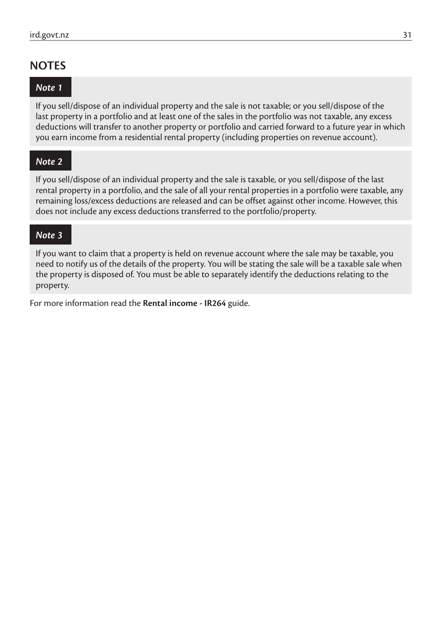#### **NOTES**

#### *Note 1*

If you sell/dispose of an individual property and the sale is not taxable; or you sell/dispose of the last property in a portfolio and at least one of the sales in the portfolio was not taxable, any excess deductions will transfer to another property or portfolio and carried forward to a future year in which you earn income from a residential rental property (including properties on revenue account).

#### *Note 2*

If you sell/dispose of an individual property and the sale is taxable, or you sell/dispose of the last rental property in a portfolio, and the sale of all your rental properties in a portfolio were taxable, any remaining loss/excess deductions are released and can be offset against other income. However, this does not include any excess deductions transferred to the portfolio/property.

#### *Note 3*

If you want to claim that a property is held on revenue account where the sale may be taxable, you need to notify us of the details of the property. You will be stating the sale will be a taxable sale when the property is disposed of. You must be able to separately identify the deductions relating to the property.

For more information read the **Rental income - IR264** guide.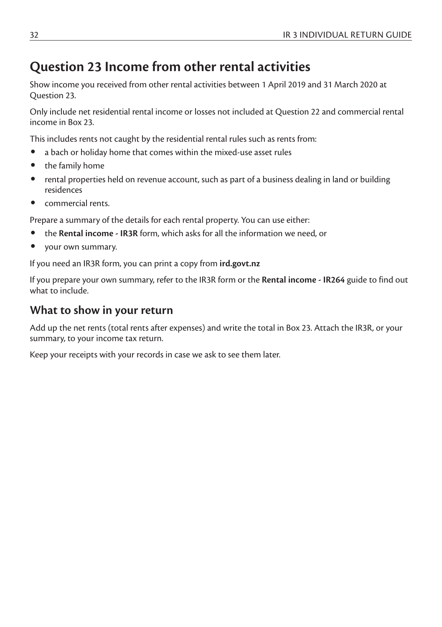## **Question 23 Income from other rental activities**

Show income you received from other rental activities between 1 April 2019 and 31 March 2020 at Question 23.

Only include net residential rental income or losses not included at Question 22 and commercial rental income in Box 23.

This includes rents not caught by the residential rental rules such as rents from:

- a bach or holiday home that comes within the mixed-use asset rules
- the family home
- rental properties held on revenue account, such as part of a business dealing in land or building residences
- commercial rents.

Prepare a summary of the details for each rental property. You can use either:

- the **Rental income IR3R** form, which asks for all the information we need, or
- your own summary.

If you need an IR3R form, you can print a copy from **ird.govt.nz**

If you prepare your own summary, refer to the IR3R form or the **Rental income - IR264** guide to find out what to include.

#### **What to show in your return**

Add up the net rents (total rents after expenses) and write the total in Box 23. Attach the IR3R, or your summary, to your income tax return.

Keep your receipts with your records in case we ask to see them later.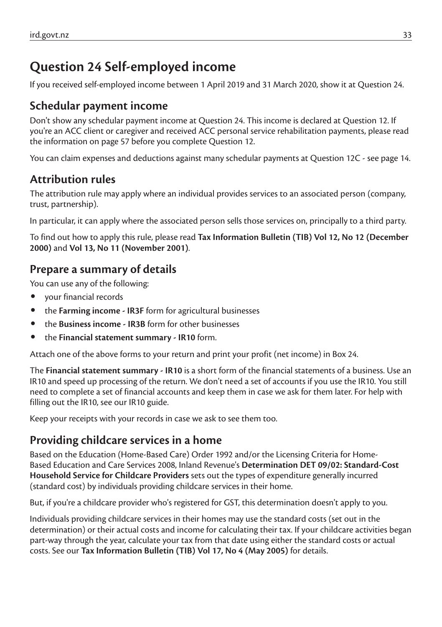# **Question 24 Self-employed income**

If you received self-employed income between 1 April 2019 and 31 March 2020, show it at Question 24.

### **Schedular payment income**

Don't show any schedular payment income at Question 24. This income is declared at Question 12. If you're an ACC client or caregiver and received ACC personal service rehabilitation payments, please read the information on page 57 before you complete Question 12.

You can claim expenses and deductions against many schedular payments at Question 12C - see page 14.

## **Attribution rules**

The attribution rule may apply where an individual provides services to an associated person (company, trust, partnership).

In particular, it can apply where the associated person sells those services on, principally to a third party.

To find out how to apply this rule, please read **Tax Information Bulletin (TIB) Vol 12, No 12 (December 2000)** and **Vol 13, No 11 (November 2001)**.

### **Prepare a summary of details**

You can use any of the following:

- your financial records
- the **Farming income IR3F** form for agricultural businesses
- the **Business income IR3B** form for other businesses
- the **Financial statement summary IR10** form.

Attach one of the above forms to your return and print your profit (net income) in Box 24.

The **Financial statement summary - IR10** is a short form of the financial statements of a business. Use an IR10 and speed up processing of the return. We don't need a set of accounts if you use the IR10. You still need to complete a set of financial accounts and keep them in case we ask for them later. For help with filling out the IR10, see our IR10 guide.

Keep your receipts with your records in case we ask to see them too.

## **Providing childcare services in a home**

Based on the Education (Home-Based Care) Order 1992 and/or the Licensing Criteria for Home-Based Education and Care Services 2008, Inland Revenue's **Determination DET 09/02: Standard-Cost Household Service for Childcare Providers** sets out the types of expenditure generally incurred (standard cost) by individuals providing childcare services in their home.

But, if you're a childcare provider who's registered for GST, this determination doesn't apply to you.

Individuals providing childcare services in their homes may use the standard costs (set out in the determination) or their actual costs and income for calculating their tax. If your childcare activities began part-way through the year, calculate your tax from that date using either the standard costs or actual costs. See our **Tax Information Bulletin (TIB) Vol 17, No 4 (May 2005)** for details.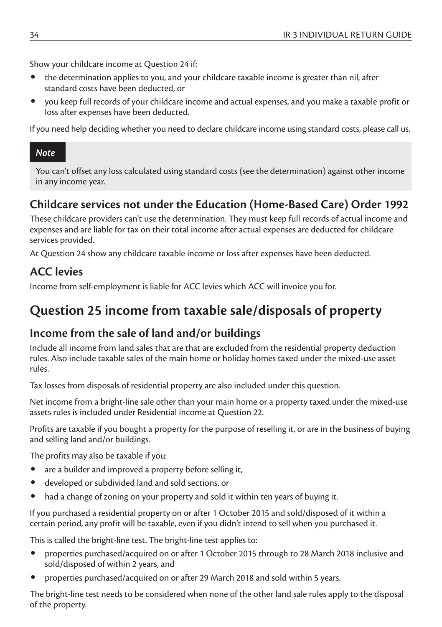Show your childcare income at Question 24 if:

- the determination applies to you, and your childcare taxable income is greater than nil, after standard costs have been deducted, or
- you keep full records of your childcare income and actual expenses, and you make a taxable profit or loss after expenses have been deducted.

If you need help deciding whether you need to declare childcare income using standard costs, please call us.

#### *Note*

You can't offset any loss calculated using standard costs (see the determination) against other income in any income year.

## **Childcare services not under the Education (Home-Based Care) Order 1992**

These childcare providers can't use the determination. They must keep full records of actual income and expenses and are liable for tax on their total income after actual expenses are deducted for childcare services provided.

At Question 24 show any childcare taxable income or loss after expenses have been deducted.

### **ACC levies**

Income from self-employment is liable for ACC levies which ACC will invoice you for.

# **Question 25 income from taxable sale/disposals of property**

### **Income from the sale of land and/or buildings**

Include all income from land sales that are that are excluded from the residential property deduction rules. Also include taxable sales of the main home or holiday homes taxed under the mixed-use asset rules.

Tax losses from disposals of residential property are also included under this question.

Net income from a bright-line sale other than your main home or a property taxed under the mixed-use assets rules is included under Residential income at Question 22.

Profits are taxable if you bought a property for the purpose of reselling it, or are in the business of buying and selling land and/or buildings.

The profits may also be taxable if you:

- are a builder and improved a property before selling it.
- developed or subdivided land and sold sections, or
- had a change of zoning on your property and sold it within ten years of buying it.

If you purchased a residential property on or after 1 October 2015 and sold/disposed of it within a certain period, any profit will be taxable, even if you didn't intend to sell when you purchased it.

This is called the bright-line test. The bright-line test applies to:

- properties purchased/acquired on or after 1 October 2015 through to 28 March 2018 inclusive and sold/disposed of within 2 years, and
- properties purchased/acquired on or after 29 March 2018 and sold within 5 years.

The bright-line test needs to be considered when none of the other land sale rules apply to the disposal of the property.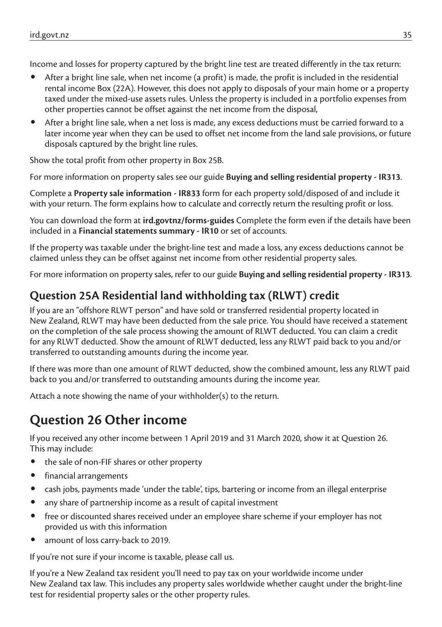Income and losses for property captured by the bright line test are treated differently in the tax return:

- After a bright line sale, when net income (a profit) is made, the profit is included in the residential rental income Box (22A). However, this does not apply to disposals of your main home or a property taxed under the mixed-use assets rules. Unless the property is included in a portfolio expenses from other properties cannot be offset against the net income from the disposal,
- After a bright line sale, when a net loss is made, any excess deductions must be carried forward to a later income year when they can be used to offset net income from the land sale provisions, or future disposals captured by the bright line rules.

Show the total profit from other property in Box 25B.

For more information on property sales see our guide **Buying and selling residential property - IR313**.

Complete a **Property sale information - IR833** form for each property sold/disposed of and include it with your return. The form explains how to calculate and correctly return the resulting profit or loss.

You can download the form at **ird.govtnz/forms-guides** Complete the form even if the details have been included in a **Financial statements summary - IR10** or set of accounts.

If the property was taxable under the bright-line test and made a loss, any excess deductions cannot be claimed unless they can be offset against net income from other residential property sales.

For more information on property sales, refer to our guide **Buying and selling residential property - IR313**.

## **Question 25A Residential land withholding tax (RLWT) credit**

If you are an "offshore RLWT person" and have sold or transferred residential property located in New Zealand, RLWT may have been deducted from the sale price. You should have received a statement on the completion of the sale process showing the amount of RLWT deducted. You can claim a credit for any RLWT deducted. Show the amount of RLWT deducted, less any RLWT paid back to you and/or transferred to outstanding amounts during the income year.

If there was more than one amount of RLWT deducted, show the combined amount, less any RLWT paid back to you and/or transferred to outstanding amounts during the income year.

Attach a note showing the name of your withholder(s) to the return.

## **Question 26 Other income**

If you received any other income between 1 April 2019 and 31 March 2020, show it at Question 26. This may include:

- the sale of non-FIF shares or other property
- financial arrangements
- cash jobs, payments made 'under the table', tips, bartering or income from an illegal enterprise
- any share of partnership income as a result of capital investment
- free or discounted shares received under an employee share scheme if your employer has not provided us with this information
- amount of loss carry-back to 2019.

If you're not sure if your income is taxable, please call us.

If you're a New Zealand tax resident you'll need to pay tax on your worldwide income under New Zealand tax law. This includes any property sales worldwide whether caught under the bright-line test for residential property sales or the other property rules.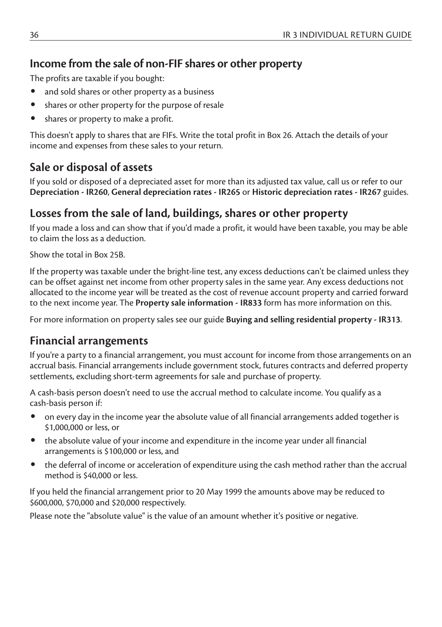#### **Income from the sale of non-FIF shares or other property**

The profits are taxable if you bought:

- and sold shares or other property as a business
- shares or other property for the purpose of resale
- shares or property to make a profit.

This doesn't apply to shares that are FIFs. Write the total profit in Box 26. Attach the details of your income and expenses from these sales to your return.

#### **Sale or disposal of assets**

If you sold or disposed of a depreciated asset for more than its adjusted tax value, call us or refer to our **Depreciation - IR260**, **General depreciation rates - IR265** or **Historic depreciation rates - IR267** guides.

#### **Losses from the sale of land, buildings, shares or other property**

If you made a loss and can show that if you'd made a profit, it would have been taxable, you may be able to claim the loss as a deduction.

Show the total in Box 25B.

If the property was taxable under the bright-line test, any excess deductions can't be claimed unless they can be offset against net income from other property sales in the same year. Any excess deductions not allocated to the income year will be treated as the cost of revenue account property and carried forward to the next income year. The **Property sale information - IR833** form has more information on this.

For more information on property sales see our guide **Buying and selling residential property - IR313**.

#### **Financial arrangements**

If you're a party to a financial arrangement, you must account for income from those arrangements on an accrual basis. Financial arrangements include government stock, futures contracts and deferred property settlements, excluding short-term agreements for sale and purchase of property.

A cash-basis person doesn't need to use the accrual method to calculate income. You qualify as a cash-basis person if:

- on every day in the income year the absolute value of all financial arrangements added together is \$1,000,000 or less, or
- the absolute value of your income and expenditure in the income year under all financial arrangements is \$100,000 or less, and
- the deferral of income or acceleration of expenditure using the cash method rather than the accrual method is \$40,000 or less.

If you held the financial arrangement prior to 20 May 1999 the amounts above may be reduced to \$600,000, \$70,000 and \$20,000 respectively.

Please note the "absolute value" is the value of an amount whether it's positive or negative.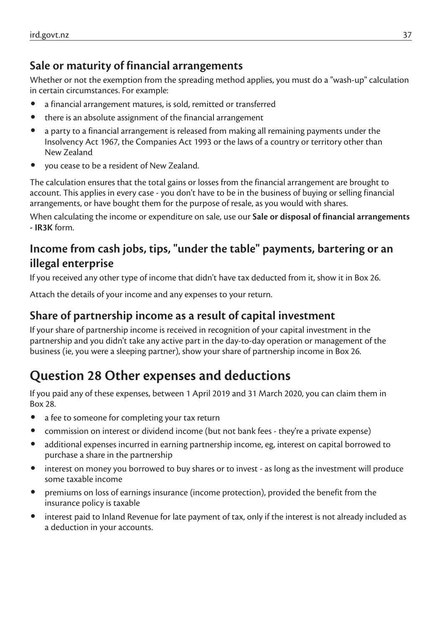## **Sale or maturity of financial arrangements**

Whether or not the exemption from the spreading method applies, you must do a "wash-up" calculation in certain circumstances. For example:

- a financial arrangement matures, is sold, remitted or transferred
- there is an absolute assignment of the financial arrangement
- a party to a financial arrangement is released from making all remaining payments under the Insolvency Act 1967, the Companies Act 1993 or the laws of a country or territory other than New Zealand
- you cease to be a resident of New Zealand.

The calculation ensures that the total gains or losses from the financial arrangement are brought to account. This applies in every case - you don't have to be in the business of buying or selling financial arrangements, or have bought them for the purpose of resale, as you would with shares.

When calculating the income or expenditure on sale, use our **Sale or disposal of financial arrangements - IR3K** form.

## **Income from cash jobs, tips, "under the table" payments, bartering or an illegal enterprise**

If you received any other type of income that didn't have tax deducted from it, show it in Box 26.

Attach the details of your income and any expenses to your return.

### **Share of partnership income as a result of capital investment**

If your share of partnership income is received in recognition of your capital investment in the partnership and you didn't take any active part in the day-to-day operation or management of the business (ie, you were a sleeping partner), show your share of partnership income in Box 26.

# **Question 28 Other expenses and deductions**

If you paid any of these expenses, between 1 April 2019 and 31 March 2020, you can claim them in Box 28.

- a fee to someone for completing your tax return
- commission on interest or dividend income (but not bank fees they're a private expense)
- additional expenses incurred in earning partnership income, eg, interest on capital borrowed to purchase a share in the partnership
- interest on money you borrowed to buy shares or to invest as long as the investment will produce some taxable income
- premiums on loss of earnings insurance (income protection), provided the benefit from the insurance policy is taxable
- interest paid to Inland Revenue for late payment of tax, only if the interest is not already included as a deduction in your accounts.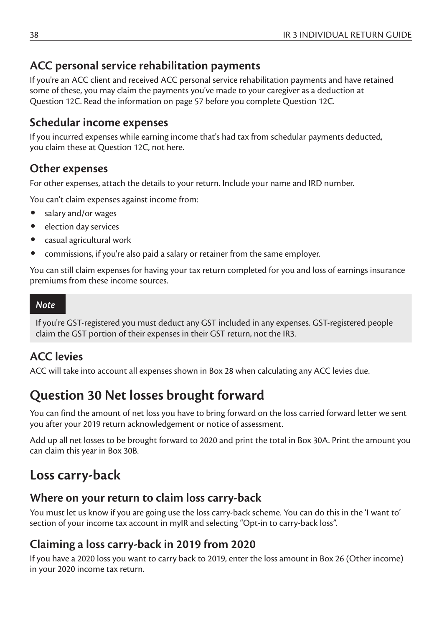#### **ACC personal service rehabilitation payments**

If you're an ACC client and received ACC personal service rehabilitation payments and have retained some of these, you may claim the payments you've made to your caregiver as a deduction at Question 12C. Read the information on page 57 before you complete Question 12C.

#### **Schedular income expenses**

If you incurred expenses while earning income that's had tax from schedular payments deducted, you claim these at Question 12C, not here.

#### **Other expenses**

For other expenses, attach the details to your return. Include your name and IRD number.

You can't claim expenses against income from:

- salary and/or wages
- election day services
- casual agricultural work
- commissions, if you're also paid a salary or retainer from the same employer.

You can still claim expenses for having your tax return completed for you and loss of earnings insurance premiums from these income sources.

#### *Note*

If you're GST-registered you must deduct any GST included in any expenses. GST-registered people claim the GST portion of their expenses in their GST return, not the IR3.

#### **ACC levies**

ACC will take into account all expenses shown in Box 28 when calculating any ACC levies due.

## **Question 30 Net losses brought forward**

You can find the amount of net loss you have to bring forward on the loss carried forward letter we sent you after your 2019 return acknowledgement or notice of assessment.

Add up all net losses to be brought forward to 2020 and print the total in Box 30A. Print the amount you can claim this year in Box 30B.

## **Loss carry-back**

### **Where on your return to claim loss carry-back**

You must let us know if you are going use the loss carry-back scheme. You can do this in the 'I want to' section of your income tax account in myIR and selecting "Opt-in to carry-back loss".

## **Claiming a loss carry-back in 2019 from 2020**

If you have a 2020 loss you want to carry back to 2019, enter the loss amount in Box 26 (Other income) in your 2020 income tax return.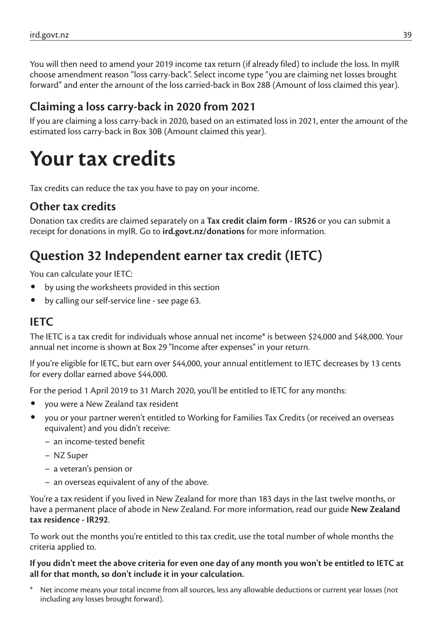You will then need to amend your 2019 income tax return (if already filed) to include the loss. In myIR choose amendment reason "loss carry-back". Select income type "you are claiming net losses brought forward" and enter the amount of the loss carried-back in Box 28B (Amount of loss claimed this year).

#### **Claiming a loss carry-back in 2020 from 2021**

If you are claiming a loss carry-back in 2020, based on an estimated loss in 2021, enter the amount of the estimated loss carry-back in Box 30B (Amount claimed this year).

# **Your tax credits**

Tax credits can reduce the tax you have to pay on your income.

#### **Other tax credits**

Donation tax credits are claimed separately on a **Tax credit claim form - IR526** or you can submit a receipt for donations in myIR. Go to **ird.govt.nz/donations** for more information.

# **Question 32 Independent earner tax credit (IETC)**

You can calculate your IETC:

- by using the worksheets provided in this section
- by calling our self-service line see page 63.

#### **IETC**

The IETC is a tax credit for individuals whose annual net income\* is between \$24,000 and \$48,000. Your annual net income is shown at Box 29 "Income after expenses" in your return.

If you're eligible for IETC, but earn over \$44,000, your annual entitlement to IETC decreases by 13 cents for every dollar earned above \$44,000.

For the period 1 April 2019 to 31 March 2020, you'll be entitled to IETC for any months:

- you were a New Zealand tax resident
- you or your partner weren't entitled to Working for Families Tax Credits (or received an overseas equivalent) and you didn't receive:
	- an income-tested benefit
	- NZ Super
	- a veteran's pension or
	- an overseas equivalent of any of the above.

You're a tax resident if you lived in New Zealand for more than 183 days in the last twelve months, or have a permanent place of abode in New Zealand. For more information, read our guide **New Zealand tax residence - IR292**.

To work out the months you're entitled to this tax credit, use the total number of whole months the criteria applied to.

**If you didn't meet the above criteria for even one day of any month you won't be entitled to IETC at all for that month, so don't include it in your calculation.**

Net income means your total income from all sources, less any allowable deductions or current year losses (not including any losses brought forward).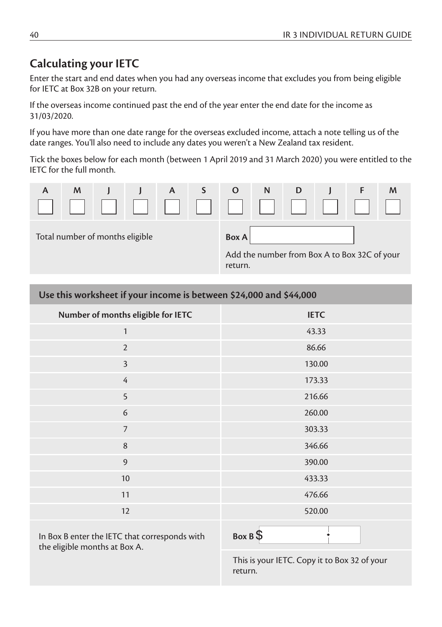#### **Calculating your IETC**

Enter the start and end dates when you had any overseas income that excludes you from being eligible for IETC at Box 32B on your return.

If the overseas income continued past the end of the year enter the end date for the income as 31/03/2020.

If you have more than one date range for the overseas excluded income, attach a note telling us of the date ranges. You'll also need to include any dates you weren't a New Zealand tax resident.

Tick the boxes below for each month (between 1 April 2019 and 31 March 2020) you were entitled to the IETC for the full month.



| Use this worksheet if your income is between \$24,000 and \$44,000 |             |  |  |  |
|--------------------------------------------------------------------|-------------|--|--|--|
| Number of months eligible for IETC                                 | <b>IETC</b> |  |  |  |
| $\mathbf{1}$                                                       | 43.33       |  |  |  |
| $\overline{2}$                                                     | 86.66       |  |  |  |
| $\overline{3}$                                                     | 130.00      |  |  |  |
| $\overline{4}$                                                     | 173.33      |  |  |  |
| 5                                                                  | 216.66      |  |  |  |
| 6                                                                  | 260.00      |  |  |  |
| $\overline{7}$                                                     | 303.33      |  |  |  |
| 8                                                                  | 346.66      |  |  |  |
| 9                                                                  | 390.00      |  |  |  |
| 10                                                                 | 433.33      |  |  |  |
| 11                                                                 | 476.66      |  |  |  |
| 12                                                                 | 520.00      |  |  |  |
|                                                                    |             |  |  |  |

In Box B enter the IETC that corresponds with the eligible months at Box A.

**Box B** 

This is your IETC. Copy it to Box 32 of your return.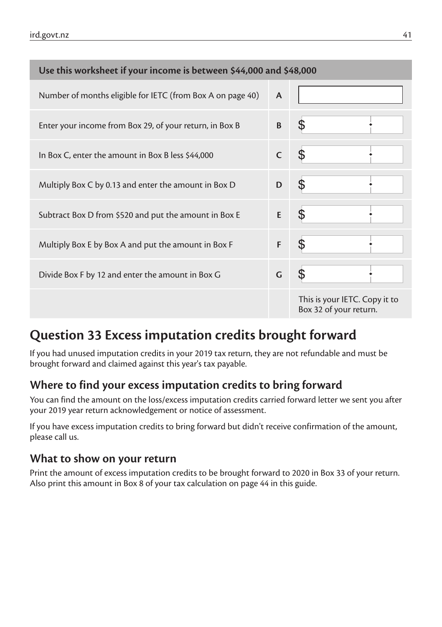| Use this worksheet if your income is between \$44,000 and \$48,000 |              |                                                         |  |  |
|--------------------------------------------------------------------|--------------|---------------------------------------------------------|--|--|
| Number of months eligible for IETC (from Box A on page 40)         | A            |                                                         |  |  |
| Enter your income from Box 29, of your return, in Box B            | B            |                                                         |  |  |
| In Box C, enter the amount in Box B less \$44,000                  | $\mathsf{C}$ |                                                         |  |  |
| Multiply Box C by 0.13 and enter the amount in Box D               | D            |                                                         |  |  |
| Subtract Box D from \$520 and put the amount in Box E              | E            | S                                                       |  |  |
| Multiply Box E by Box A and put the amount in Box F                | F            | \$                                                      |  |  |
| Divide Box F by 12 and enter the amount in Box G                   | G            |                                                         |  |  |
|                                                                    |              | This is your IETC. Copy it to<br>Box 32 of your return. |  |  |

# **Question 33 Excess imputation credits brought forward**

If you had unused imputation credits in your 2019 tax return, they are not refundable and must be brought forward and claimed against this year's tax payable.

## **Where to find your excess imputation credits to bring forward**

You can find the amount on the loss/excess imputation credits carried forward letter we sent you after your 2019 year return acknowledgement or notice of assessment.

If you have excess imputation credits to bring forward but didn't receive confirmation of the amount, please call us.

## **What to show on your return**

Print the amount of excess imputation credits to be brought forward to 2020 in Box 33 of your return. Also print this amount in Box 8 of your tax calculation on page 44 in this guide.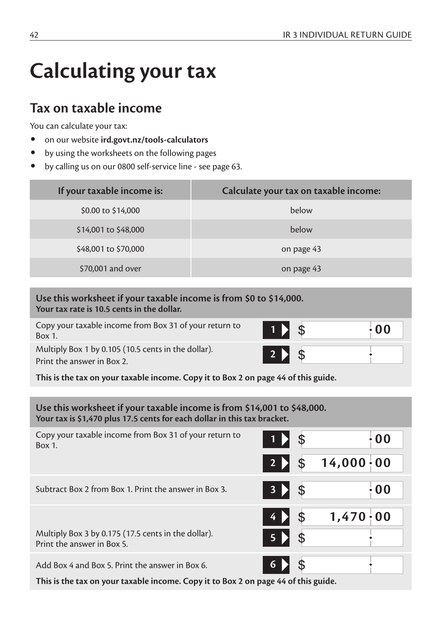# **Calculating your tax**

## **Tax on taxable income**

You can calculate your tax:

- on our website **ird.govt.nz/tools-calculators**
- by using the worksheets on the following pages
- by calling us on our 0800 self-service line see page 63.

| If your taxable income is: | Calculate your tax on taxable income: |
|----------------------------|---------------------------------------|
| \$0.00 to \$14,000         | below                                 |
| \$14,001 to \$48,000       | below                                 |
| \$48,001 to \$70,000       | on page 43                            |
| \$70,001 and over          | on page 43                            |

#### **Use this worksheet if your taxable income is from \$0 to \$14,000. Your tax rate is 10.5 cents in the dollar.**

Copy your taxable income from Box 31 of your return to Box 1. **<sup>1</sup> 00**

Multiply Box 1 by 0.105 (10.5 cents in the dollar). Print the answer in Box 2.

**This is the tax on your taxable income. Copy it to Box 2 on page 44 of this guide.**

#### **Use this worksheet if your taxable income is from \$14,001 to \$48,000. Your tax is \$1,470 plus 17.5 cents for each dollar in this tax bracket.**

| Copy your taxable income from Box 31 of your return to<br>$Box 1$ .                |                           | \$<br>0 <sub>0</sub>    |
|------------------------------------------------------------------------------------|---------------------------|-------------------------|
|                                                                                    | $2 \n\blacktriangleright$ | \$<br>$14,000 \cdot 00$ |
| Subtract Box 2 from Box 1. Print the answer in Box 3.                              | 3 D                       | \$<br>0 <sub>0</sub>    |
|                                                                                    | $4 \n\blacktriangleright$ | \$<br>$1,470 \cdot 00$  |
| Multiply Box 3 by 0.175 (17.5 cents in the dollar).<br>Print the answer in Box 5.  | $5 \mid \cdot \mid$       | \$                      |
| Add Box 4 and Box 5. Print the answer in Box 6.                                    | 6 D                       |                         |
| This is the tax on your taxable income. Copy it to Box 2 on page 44 of this guide. |                           |                         |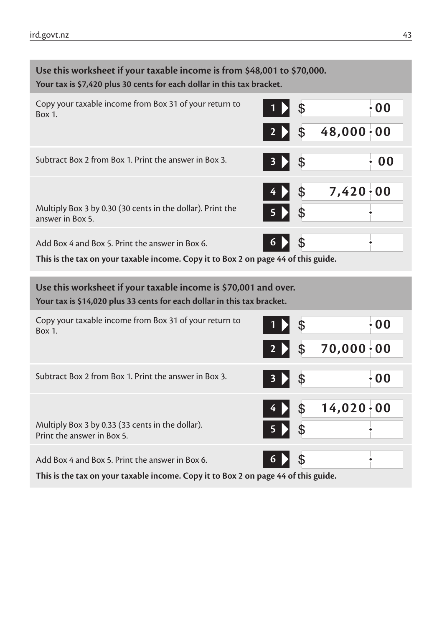| Use this worksheet if your taxable income is from \$48,001 to \$70,000.<br>Your tax is \$7,420 plus 30 cents for each dollar in this tax bracket. |                         |  |  |  |
|---------------------------------------------------------------------------------------------------------------------------------------------------|-------------------------|--|--|--|
| Copy your taxable income from Box 31 of your return to<br>Box 1.                                                                                  | $\cdot 00$<br>\$        |  |  |  |
|                                                                                                                                                   | $48,000 \cdot 00$<br>\$ |  |  |  |
| Subtract Box 2 from Box 1. Print the answer in Box 3.                                                                                             | \$<br>0 <sub>0</sub>    |  |  |  |
|                                                                                                                                                   | 7,420:00<br>\$          |  |  |  |
| Multiply Box 3 by 0.30 (30 cents in the dollar). Print the<br>answer in Box 5.                                                                    | \$                      |  |  |  |
| Add Box 4 and Box 5. Print the answer in Box 6.                                                                                                   | \$<br>6                 |  |  |  |
| This is the tax on your taxable income. Copy it to Box 2 on page 44 of this guide.                                                                |                         |  |  |  |
| Use this worksheet if your taxable income is \$70,001 and over.<br>Your tax is \$14,020 plus 33 cents for each dollar in this tax bracket.        |                         |  |  |  |
| Copy your taxable income from Box 31 of your return to<br>Box 1.                                                                                  | $\cdot$ 00<br>\$        |  |  |  |
|                                                                                                                                                   | $70,000 \cdot 00$<br>\$ |  |  |  |
| Subtract Box 2 from Box 1. Print the answer in Box 3.                                                                                             | \$<br>$\cdot$ 00        |  |  |  |
|                                                                                                                                                   | $14,020 \cdot 00$<br>\$ |  |  |  |
| Multiply Box 3 by 0.33 (33 cents in the dollar).<br>Print the answer in Box 5.                                                                    |                         |  |  |  |
| Add Box 4 and Box 5. Print the answer in Box 6.                                                                                                   | \$<br>6                 |  |  |  |
| This is the tax on your taxable income. Copy it to Box 2 on page 44 of this guide.                                                                |                         |  |  |  |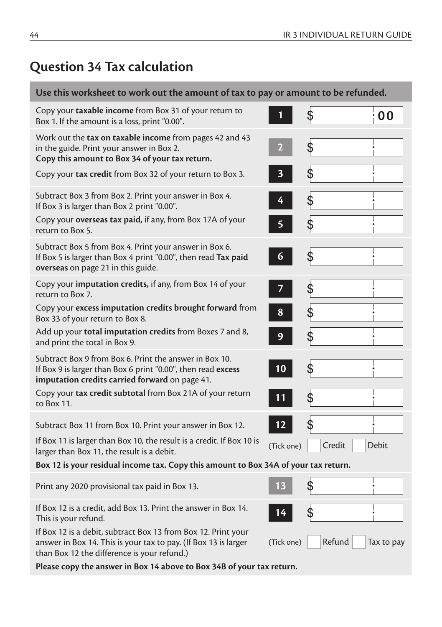## **Question 34 Tax calculation**

#### **Use this worksheet to work out the amount of tax to pay or amount to be refunded.** Copy your **taxable income** from Box 31 of your return to Box 1. If the amount is a loss, print "0.00". **<sup>1</sup> 00** Work out the **tax on taxable income** from pages 42 and 43 in the guide. Print your answer in Box 2. **Copy this amount to Box 34 of your tax return. 2** Copy your **tax credit** from Box 32 of your return to Box 3. **3** Subtract Box 3 from Box 2. Print your answer in Box 4. If Box 3 is larger than Box 2 print "0.00". **4** Copy your **overseas tax paid,** if any, from Box 17A of your return to Box 5. **5** Subtract Box 5 from Box 4. Print your answer in Box 6. If Box 5 is larger than Box 4 print "0.00", then read **Tax paid overseas** on page 21 in this guide. **6** Copy your **imputation credits,** if any, from Box 14 of your return to Box 7. **7** Copy your **excess imputation credits brought forward** from Box 33 of your return to Box 8. **8** Add up your **total imputation credits** from Boxes 7 and 8, and print the total in Box 9. **9** Subtract Box 9 from Box 6. Print the answer in Box 10. If Box 9 is larger than Box 6 print "0.00", then read **excess imputation credits carried forward** on page 41. **10** Copy your **tax credit subtotal** from Box 21A of your return to Box 11. **11** Subtract Box 11 from Box 10. Print your answer in Box 12. **12** If Box 11 is larger than Box 10, the result is a credit. If Box 10 is li box 11 is larger than box 10, the result is a credit. If box 10 is (Tick one) Credit Debit<br>larger than Box 11, the result is a debit. **Box 12 is your residual income tax. Copy this amount to Box 34A of your tax return.** Print any 2020 provisional tax paid in Box 13. **13** If Box 12 is a credit, add Box 13. Print the answer in Box 14. This is your refund. **14** If Box 12 is a debit, subtract Box 13 from Box 12. Print your answer in Box 14. This is your tax to pay. (If Box 13 is larger than Box 12 the difference is your refund.) (Tick one) Refund Tax to pay

**Please copy the answer in Box 14 above to Box 34B of your tax return.**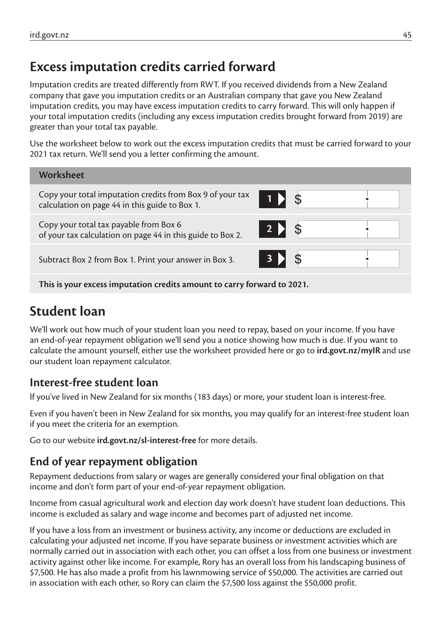# **Excess imputation credits carried forward**

Imputation credits are treated differently from RWT. If you received dividends from a New Zealand company that gave you imputation credits or an Australian company that gave you New Zealand imputation credits, you may have excess imputation credits to carry forward. This will only happen if your total imputation credits (including any excess imputation credits brought forward from 2019) are greater than your total tax payable.

Use the worksheet below to work out the excess imputation credits that must be carried forward to your 2021 tax return. We'll send you a letter confirming the amount.



**This is your excess imputation credits amount to carry forward to 2021.**

# **Student loan**

We'll work out how much of your student loan you need to repay, based on your income. If you have an end-of-year repayment obligation we'll send you a notice showing how much is due. If you want to calculate the amount yourself, either use the worksheet provided here or go to **ird.govt.nz/myIR** and use our student loan repayment calculator.

## **Interest-free student loan**

If you've lived in New Zealand for six months (183 days) or more, your student loan is interest-free.

Even if you haven't been in New Zealand for six months, you may qualify for an interest-free student loan if you meet the criteria for an exemption.

Go to our website **ird.govt.nz/sl-interest-free** for more details.

## **End of year repayment obligation**

Repayment deductions from salary or wages are generally considered your final obligation on that income and don't form part of your end-of-year repayment obligation.

Income from casual agricultural work and election day work doesn't have student loan deductions. This income is excluded as salary and wage income and becomes part of adjusted net income.

If you have a loss from an investment or business activity, any income or deductions are excluded in calculating your adjusted net income. If you have separate business or investment activities which are normally carried out in association with each other, you can offset a loss from one business or investment activity against other like income. For example, Rory has an overall loss from his landscaping business of \$7,500. He has also made a profit from his lawnmowing service of \$50,000. The activities are carried out in association with each other, so Rory can claim the \$7,500 loss against the \$50,000 profit.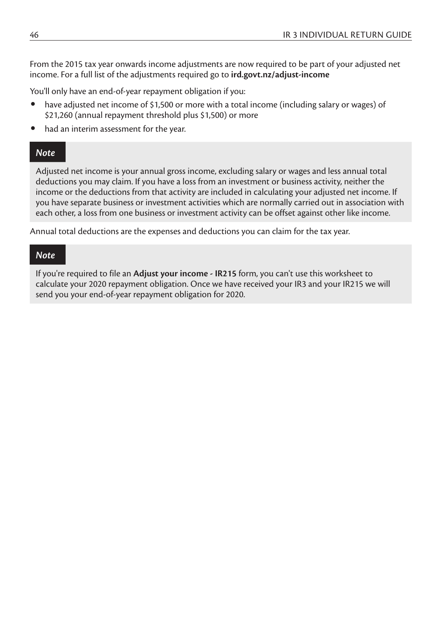From the 2015 tax year onwards income adjustments are now required to be part of your adjusted net income. For a full list of the adjustments required go to **ird.govt.nz/adjust-income**

You'll only have an end-of-year repayment obligation if you:

- have adjusted net income of \$1,500 or more with a total income (including salary or wages) of \$21,260 (annual repayment threshold plus \$1,500) or more
- had an interim assessment for the year.

#### *Note*

Adjusted net income is your annual gross income, excluding salary or wages and less annual total deductions you may claim. If you have a loss from an investment or business activity, neither the income or the deductions from that activity are included in calculating your adjusted net income. If you have separate business or investment activities which are normally carried out in association with each other, a loss from one business or investment activity can be offset against other like income.

Annual total deductions are the expenses and deductions you can claim for the tax year.

#### *Note*

If you're required to file an **Adjust your income - IR215** form, you can't use this worksheet to calculate your 2020 repayment obligation. Once we have received your IR3 and your IR215 we will send you your end-of-year repayment obligation for 2020.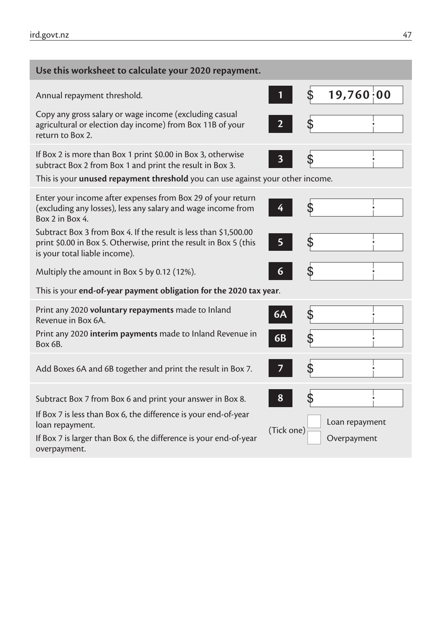| Use this worksheet to calculate your 2020 repayment.                                                                                                                                                              |                                             |
|-------------------------------------------------------------------------------------------------------------------------------------------------------------------------------------------------------------------|---------------------------------------------|
| Annual repayment threshold.                                                                                                                                                                                       | 19,760;00<br>\$<br>1                        |
| Copy any gross salary or wage income (excluding casual<br>agricultural or election day income) from Box 11B of your<br>return to Box 2.                                                                           | \$<br>$\mathbf{2}$                          |
| If Box 2 is more than Box 1 print \$0.00 in Box 3, otherwise<br>subtract Box 2 from Box 1 and print the result in Box 3.<br>This is your <b>unused repayment threshold</b> you can use against your other income. | \$<br>3                                     |
| Enter your income after expenses from Box 29 of your return<br>(excluding any losses), less any salary and wage income from<br>Box 2 in Box 4.                                                                    | \$<br>4                                     |
| Subtract Box 3 from Box 4. If the result is less than \$1,500.00<br>print \$0.00 in Box 5. Otherwise, print the result in Box 5 (this<br>is your total liable income).                                            | \$<br>5                                     |
| Multiply the amount in Box 5 by 0.12 (12%).                                                                                                                                                                       | \$<br>6                                     |
| This is your end-of-year payment obligation for the 2020 tax year.                                                                                                                                                |                                             |
| Print any 2020 voluntary repayments made to Inland<br>Revenue in Box 6A.                                                                                                                                          | \$<br>6A                                    |
| Print any 2020 interim payments made to Inland Revenue in<br>Box 6B.                                                                                                                                              | \$<br>6B                                    |
| Add Boxes 6A and 6B together and print the result in Box 7.                                                                                                                                                       | \$<br>7                                     |
| Subtract Box 7 from Box 6 and print your answer in Box 8.<br>If Box 7 is less than Box 6, the difference is your end-of-year                                                                                      | \$<br>8                                     |
| loan repayment.<br>If Box 7 is larger than Box 6, the difference is your end-of-year<br>overpayment.                                                                                                              | Loan repayment<br>(Tick one)<br>Overpayment |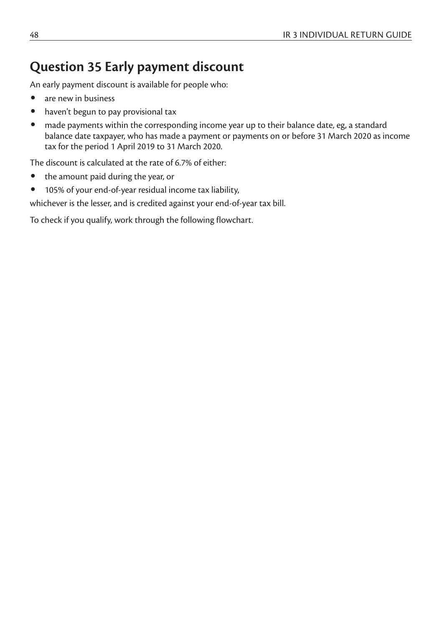## **Question 35 Early payment discount**

An early payment discount is available for people who:

- are new in business
- haven't begun to pay provisional tax
- made payments within the corresponding income year up to their balance date, eg, a standard balance date taxpayer, who has made a payment or payments on or before 31 March 2020 as income tax for the period 1 April 2019 to 31 March 2020.

The discount is calculated at the rate of 6.7% of either:

- the amount paid during the year, or
- 105% of your end-of-year residual income tax liability,

whichever is the lesser, and is credited against your end-of-year tax bill.

To check if you qualify, work through the following flowchart.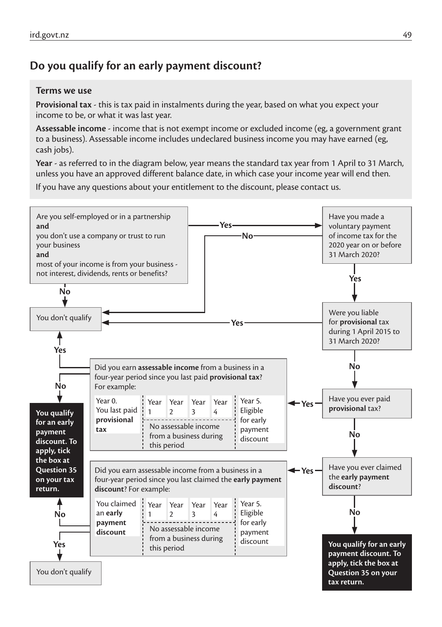## **Do you qualify for an early payment discount?**

#### **Terms we use**

**Provisional tax** - this is tax paid in instalments during the year, based on what you expect your income to be, or what it was last year.

**Assessable income** - income that is not exempt income or excluded income (eg, a government grant to a business). Assessable income includes undeclared business income you may have earned (eg, cash jobs).

**Year** - as referred to in the diagram below, year means the standard tax year from 1 April to 31 March, unless you have an approved different balance date, in which case your income year will end then.

If you have any questions about your entitlement to the discount, please contact us.

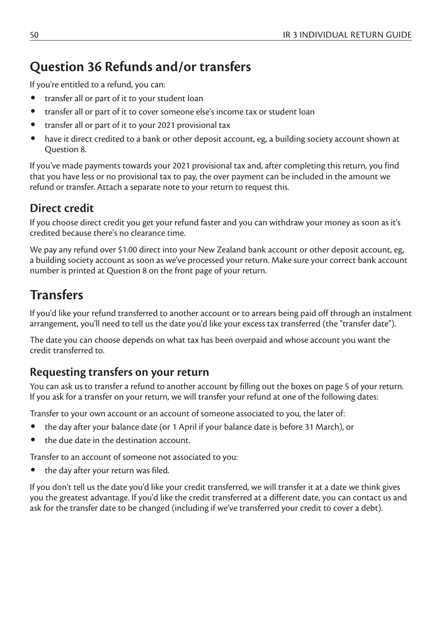# **Question 36 Refunds and/or transfers**

If you're entitled to a refund, you can:

- transfer all or part of it to your student loan
- transfer all or part of it to cover someone else's income tax or student loan
- transfer all or part of it to your 2021 provisional tax
- have it direct credited to a bank or other deposit account, eg, a building society account shown at Question 8.

If you've made payments towards your 2021 provisional tax and, after completing this return, you find that you have less or no provisional tax to pay, the over payment can be included in the amount we refund or transfer. Attach a separate note to your return to request this.

## **Direct credit**

If you choose direct credit you get your refund faster and you can withdraw your money as soon as it's credited because there's no clearance time.

We pay any refund over \$1.00 direct into your New Zealand bank account or other deposit account, eg, a building society account as soon as we've processed your return. Make sure your correct bank account number is printed at Question 8 on the front page of your return.

# **Transfers**

If you'd like your refund transferred to another account or to arrears being paid off through an instalment arrangement, you'll need to tell us the date you'd like your excess tax transferred (the "transfer date").

The date you can choose depends on what tax has been overpaid and whose account you want the credit transferred to.

### **Requesting transfers on your return**

You can ask us to transfer a refund to another account by filling out the boxes on page 5 of your return. If you ask for a transfer on your return, we will transfer your refund at one of the following dates:

Transfer to your own account or an account of someone associated to you, the later of:

- the day after your balance date (or 1 April if your balance date is before 31 March), or
- the due date in the destination account.

Transfer to an account of someone not associated to you:

the day after your return was filed.

If you don't tell us the date you'd like your credit transferred, we will transfer it at a date we think gives you the greatest advantage. If you'd like the credit transferred at a different date, you can contact us and ask for the transfer date to be changed (including if we've transferred your credit to cover a debt).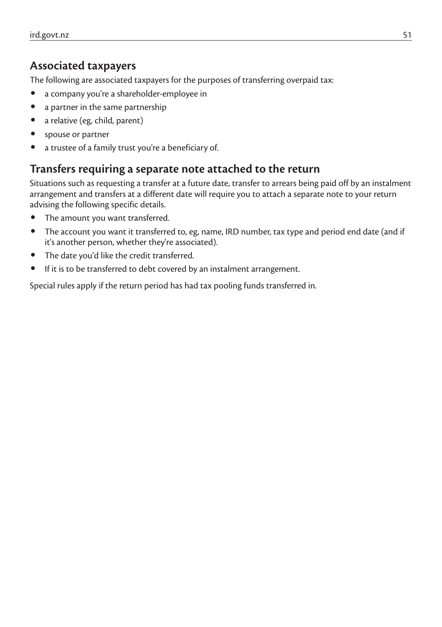### **Associated taxpayers**

The following are associated taxpayers for the purposes of transferring overpaid tax:

- a company you're a shareholder-employee in
- a partner in the same partnership
- a relative (eg, child, parent)
- spouse or partner
- a trustee of a family trust you're a beneficiary of.

#### **Transfers requiring a separate note attached to the return**

Situations such as requesting a transfer at a future date, transfer to arrears being paid off by an instalment arrangement and transfers at a different date will require you to attach a separate note to your return advising the following specific details.

- The amount you want transferred.
- The account you want it transferred to, eg, name, IRD number, tax type and period end date (and if it's another person, whether they're associated).
- The date you'd like the credit transferred.
- If it is to be transferred to debt covered by an instalment arrangement.

Special rules apply if the return period has had tax pooling funds transferred in.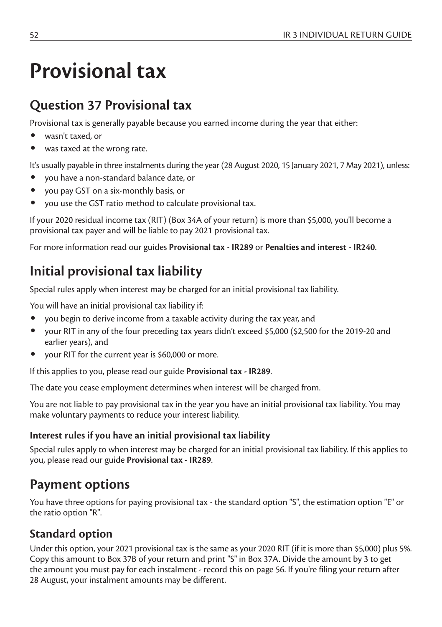# **Provisional tax**

# **Question 37 Provisional tax**

Provisional tax is generally payable because you earned income during the year that either:

- wasn't taxed, or
- was taxed at the wrong rate.

It's usually payable in three instalments during the year (28 August 2020, 15 January 2021, 7 May 2021), unless:

- you have a non-standard balance date, or
- you pay GST on a six-monthly basis, or
- you use the GST ratio method to calculate provisional tax.

If your 2020 residual income tax (RIT) (Box 34A of your return) is more than \$5,000, you'll become a provisional tax payer and will be liable to pay 2021 provisional tax.

For more information read our guides **Provisional tax - IR289** or **Penalties and interest - IR240**.

# **Initial provisional tax liability**

Special rules apply when interest may be charged for an initial provisional tax liability.

You will have an initial provisional tax liability if:

- you begin to derive income from a taxable activity during the tax year, and
- your RIT in any of the four preceding tax years didn't exceed \$5,000 (\$2,500 for the 2019-20 and earlier years), and
- your RIT for the current year is \$60,000 or more.

If this applies to you, please read our guide **Provisional tax - IR289**.

The date you cease employment determines when interest will be charged from.

You are not liable to pay provisional tax in the year you have an initial provisional tax liability. You may make voluntary payments to reduce your interest liability.

#### **Interest rules if you have an initial provisional tax liability**

Special rules apply to when interest may be charged for an initial provisional tax liability. If this applies to you, please read our guide **Provisional tax - IR289**.

# **Payment options**

You have three options for paying provisional tax - the standard option "S", the estimation option "E" or the ratio option "R".

## **Standard option**

Under this option, your 2021 provisional tax is the same as your 2020 RIT (if it is more than \$5,000) plus 5%. Copy this amount to Box 37B of your return and print "S" in Box 37A. Divide the amount by 3 to get the amount you must pay for each instalment - record this on page 56. If you're filing your return after 28 August, your instalment amounts may be different.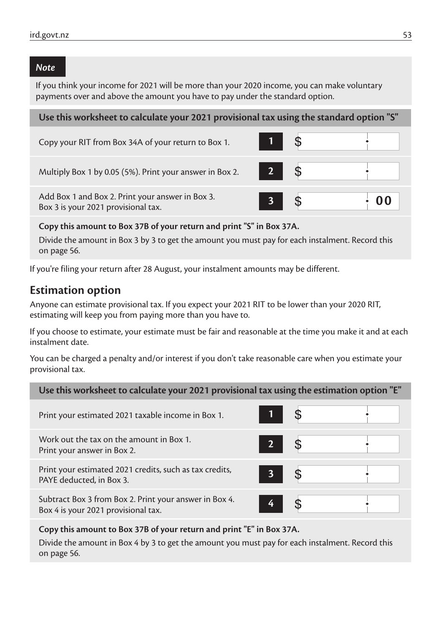#### *Note*

If you think your income for 2021 will be more than your 2020 income, you can make voluntary payments over and above the amount you have to pay under the standard option.

#### **Use this worksheet to calculate your 2021 provisional tax using the standard option "S"**

| Copy your RIT from Box 34A of your return to Box 1.                                     |             |    |
|-----------------------------------------------------------------------------------------|-------------|----|
| Multiply Box 1 by 0.05 (5%). Print your answer in Box 2.                                | $2^{\circ}$ |    |
| Add Box 1 and Box 2. Print your answer in Box 3.<br>Box 3 is your 2021 provisional tax. |             | 00 |

#### **Copy this amount to Box 37B of your return and print "S" in Box 37A.**

Divide the amount in Box 3 by 3 to get the amount you must pay for each instalment. Record this on page 56.

If you're filing your return after 28 August, your instalment amounts may be different.

#### **Estimation option**

Anyone can estimate provisional tax. If you expect your 2021 RIT to be lower than your 2020 RIT, estimating will keep you from paying more than you have to.

If you choose to estimate, your estimate must be fair and reasonable at the time you make it and at each instalment date.

You can be charged a penalty and/or interest if you don't take reasonable care when you estimate your provisional tax.

| Use this worksheet to calculate your 2021 provisional tax using the estimation option "E"     |                |    |  |
|-----------------------------------------------------------------------------------------------|----------------|----|--|
| Print your estimated 2021 taxable income in Box 1.                                            | $\mathbf{1}$   | \$ |  |
| Work out the tax on the amount in Box 1.<br>Print your answer in Box 2.                       | $2^{\circ}$    |    |  |
| Print your estimated 2021 credits, such as tax credits,<br>PAYE deducted, in Box 3.           | 3 <sup>7</sup> | S  |  |
| Subtract Box 3 from Box 2. Print your answer in Box 4.<br>Box 4 is your 2021 provisional tax. | 4              |    |  |

#### **Copy this amount to Box 37B of your return and print "E" in Box 37A.**

Divide the amount in Box 4 by 3 to get the amount you must pay for each instalment. Record this on page 56.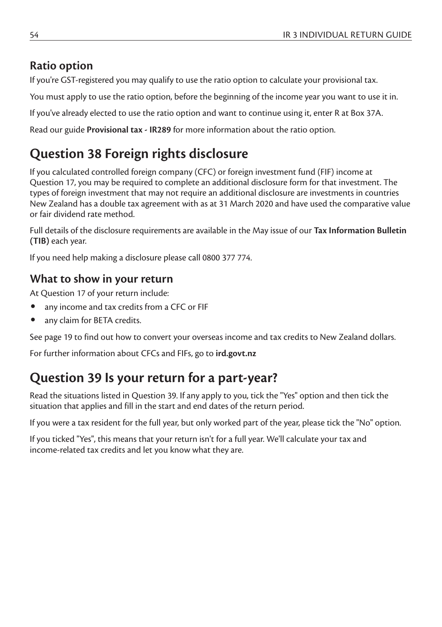## **Ratio option**

If you're GST-registered you may qualify to use the ratio option to calculate your provisional tax.

You must apply to use the ratio option, before the beginning of the income year you want to use it in.

If you've already elected to use the ratio option and want to continue using it, enter R at Box 37A.

Read our guide **Provisional tax - IR289** for more information about the ratio option.

# **Question 38 Foreign rights disclosure**

If you calculated controlled foreign company (CFC) or foreign investment fund (FIF) income at Question 17, you may be required to complete an additional disclosure form for that investment. The types of foreign investment that may not require an additional disclosure are investments in countries New Zealand has a double tax agreement with as at 31 March 2020 and have used the comparative value or fair dividend rate method.

Full details of the disclosure requirements are available in the May issue of our **Tax Information Bulletin (TIB)** each year.

If you need help making a disclosure please call 0800 377 774.

## **What to show in your return**

At Question 17 of your return include:

- any income and tax credits from a CFC or FIF
- any claim for BFTA credits.

See page 19 to find out how to convert your overseas income and tax credits to New Zealand dollars.

For further information about CFCs and FIFs, go to **ird.govt.nz**

# **Question 39 Is your return for a part-year?**

Read the situations listed in Question 39. If any apply to you, tick the "Yes" option and then tick the situation that applies and fill in the start and end dates of the return period.

If you were a tax resident for the full year, but only worked part of the year, please tick the "No" option.

If you ticked "Yes", this means that your return isn't for a full year. We'll calculate your tax and income-related tax credits and let you know what they are.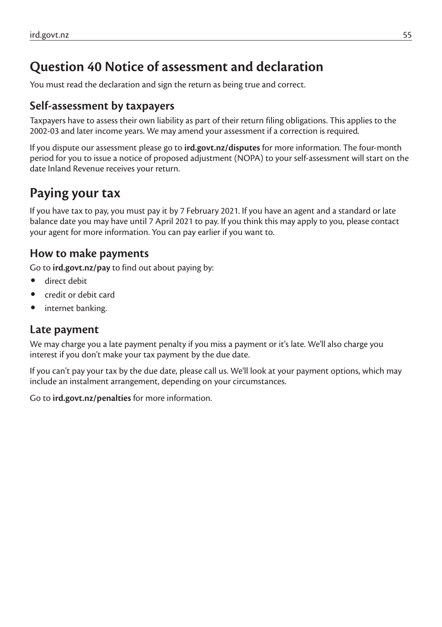# **Question 40 Notice of assessment and declaration**

You must read the declaration and sign the return as being true and correct.

#### **Self-assessment by taxpayers**

Taxpayers have to assess their own liability as part of their return filing obligations. This applies to the 2002-03 and later income years. We may amend your assessment if a correction is required.

If you dispute our assessment please go to **ird.govt.nz/disputes** for more information. The four-month period for you to issue a notice of proposed adjustment (NOPA) to your self-assessment will start on the date Inland Revenue receives your return.

# **Paying your tax**

If you have tax to pay, you must pay it by 7 February 2021. If you have an agent and a standard or late balance date you may have until 7 April 2021 to pay. If you think this may apply to you, please contact your agent for more information. You can pay earlier if you want to.

### **How to make payments**

Go to **ird.govt.nz/pay** to find out about paying by:

- direct debit
- credit or debit card
- internet banking.

#### **Late payment**

We may charge you a late payment penalty if you miss a payment or it's late. We'll also charge you interest if you don't make your tax payment by the due date.

If you can't pay your tax by the due date, please call us. We'll look at your payment options, which may include an instalment arrangement, depending on your circumstances.

Go to **ird.govt.nz/penalties** for more information.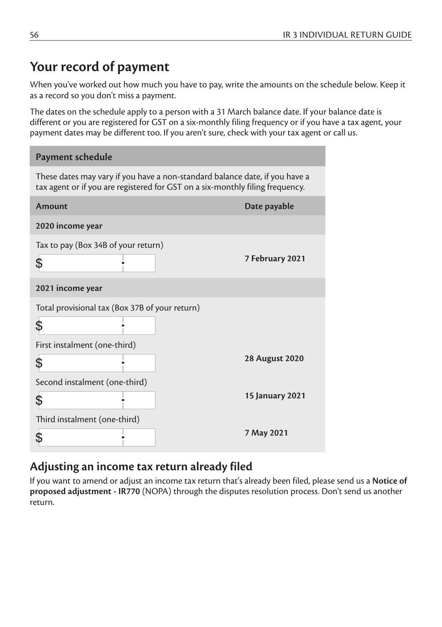# **Your record of payment**

When you've worked out how much you have to pay, write the amounts on the schedule below. Keep it as a record so you don't miss a payment.

The dates on the schedule apply to a person with a 31 March balance date. If your balance date is different or you are registered for GST on a six-monthly filing frequency or if you have a tax agent, your payment dates may be different too. If you aren't sure, check with your tax agent or call us.

| These dates may vary if you have a non-standard balance date, if you have a   |
|-------------------------------------------------------------------------------|
| tax agent or if you are registered for GST on a six-monthly filing frequency. |
| <b>Amount</b><br>Date payable                                                 |
| 2020 income year                                                              |
| Tax to pay (Box 34B of your return)                                           |
| 7 February 2021<br>\$                                                         |
| 2021 income year                                                              |
| Total provisional tax (Box 37B of your return)                                |
| \$                                                                            |
| First instalment (one-third)                                                  |
| <b>28 August 2020</b><br>\$                                                   |
| Second instalment (one-third)                                                 |
| <b>15 January 2021</b><br>\$                                                  |
| Third instalment (one-third)                                                  |
| 7 May 2021<br>ዳ                                                               |

#### **Adjusting an income tax return already filed**

If you want to amend or adjust an income tax return that's already been filed, please send us a **Notice of proposed adjustment - IR770** (NOPA) through the disputes resolution process. Don't send us another return.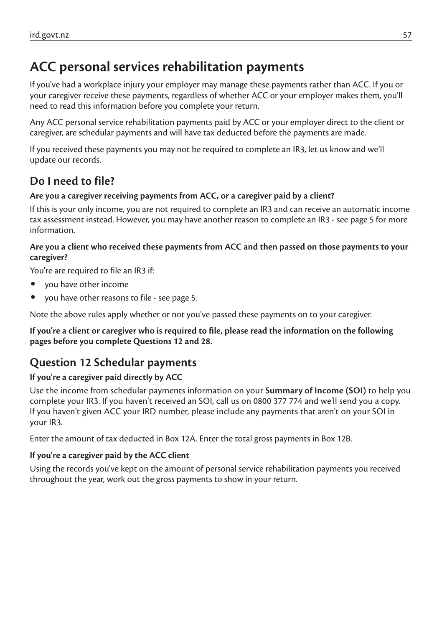# **ACC personal services rehabilitation payments**

If you've had a workplace injury your employer may manage these payments rather than ACC. If you or your caregiver receive these payments, regardless of whether ACC or your employer makes them, you'll need to read this information before you complete your return.

Any ACC personal service rehabilitation payments paid by ACC or your employer direct to the client or caregiver, are schedular payments and will have tax deducted before the payments are made.

If you received these payments you may not be required to complete an IR3, let us know and we'll update our records.

## **Do I need to file?**

#### **Are you a caregiver receiving payments from ACC, or a caregiver paid by a client?**

If this is your only income, you are not required to complete an IR3 and can receive an automatic income tax assessment instead. However, you may have another reason to complete an IR3 - see page 5 for more information.

#### **Are you a client who received these payments from ACC and then passed on those payments to your caregiver?**

You're are required to file an IR3 if:

- you have other income
- you have other reasons to file see page 5.

Note the above rules apply whether or not you've passed these payments on to your caregiver.

**If you're a client or caregiver who is required to file, please read the information on the following pages before you complete Questions 12 and 28.**

## **Question 12 Schedular payments**

#### **If you're a caregiver paid directly by ACC**

Use the income from schedular payments information on your **Summary of Income (SOI)** to help you complete your IR3. If you haven't received an SOI, call us on 0800 377 774 and we'll send you a copy. If you haven't given ACC your IRD number, please include any payments that aren't on your SOI in your IR3.

Enter the amount of tax deducted in Box 12A. Enter the total gross payments in Box 12B.

#### **If you're a caregiver paid by the ACC client**

Using the records you've kept on the amount of personal service rehabilitation payments you received throughout the year, work out the gross payments to show in your return.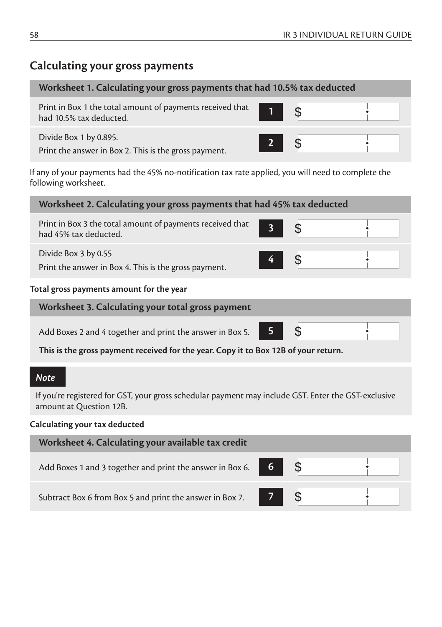#### **Calculating your gross payments**

| Worksheet 1. Calculating your gross payments that had 10.5% tax deducted                                                                                |        |  |  |
|---------------------------------------------------------------------------------------------------------------------------------------------------------|--------|--|--|
| Print in Box 1 the total amount of payments received that $\begin{array}{ c c } \hline \textbf{1} & \textbf{\$} \end{array}$<br>had 10.5% tax deducted. |        |  |  |
| Divide Box 1 by 0.895.<br>Print the answer in Box 2. This is the gross payment.                                                                         | $2$ \$ |  |  |

If any of your payments had the 45% no-notification tax rate applied, you will need to complete the following worksheet.

| Worksheet 2. Calculating your gross payments that had 45% tax deducted             |   |  |  |  |
|------------------------------------------------------------------------------------|---|--|--|--|
| Print in Box 3 the total amount of payments received that<br>had 45% tax deducted. | 3 |  |  |  |
| Divide Box 3 by 0.55<br>Print the answer in Box 4. This is the gross payment.      |   |  |  |  |
| Total gross payments amount for the year                                           |   |  |  |  |
| Worksheet 3. Calculating your total gross payment                                  |   |  |  |  |
| Add Boxes 2 and 4 together and print the answer in Box 5.                          |   |  |  |  |

Add Boxes 2 and 4 together and print the answer in Box 5. **5**

**This is the gross payment received for the year. Copy it to Box 12B of your return.**

#### *Note*

If you're registered for GST, your gross schedular payment may include GST. Enter the GST-exclusive amount at Question 12B.

#### **Calculating your tax deducted**

| Worksheet 4. Calculating your available tax credit                           |                  |  |
|------------------------------------------------------------------------------|------------------|--|
| Add Boxes 1 and 3 together and print the answer in Box 6. $\Box$ 6 $\Box$ \$ |                  |  |
| Subtract Box 6 from Box 5 and print the answer in Box 7.                     | $\overline{z}$ s |  |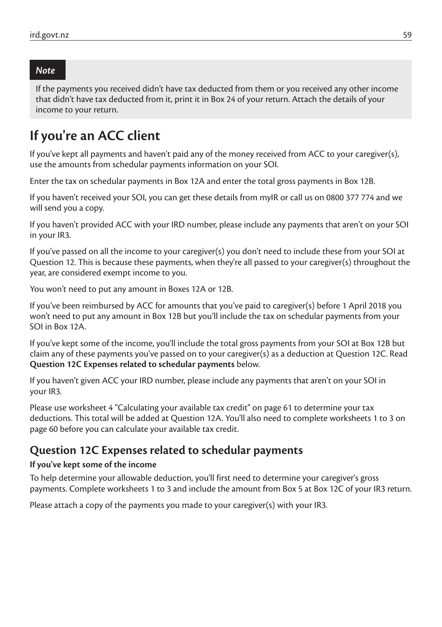#### *Note*

If the payments you received didn't have tax deducted from them or you received any other income that didn't have tax deducted from it, print it in Box 24 of your return. Attach the details of your income to your return.

## **If you're an ACC client**

If you've kept all payments and haven't paid any of the money received from ACC to your caregiver(s), use the amounts from schedular payments information on your SOI.

Enter the tax on schedular payments in Box 12A and enter the total gross payments in Box 12B.

If you haven't received your SOI, you can get these details from myIR or call us on 0800 377 774 and we will send you a copy.

If you haven't provided ACC with your IRD number, please include any payments that aren't on your SOI in your IR3.

If you've passed on all the income to your caregiver(s) you don't need to include these from your SOI at Question 12. This is because these payments, when they're all passed to your caregiver(s) throughout the year, are considered exempt income to you.

You won't need to put any amount in Boxes 12A or 12B.

If you've been reimbursed by ACC for amounts that you've paid to caregiver(s) before 1 April 2018 you won't need to put any amount in Box 12B but you'll include the tax on schedular payments from your SOI in Box 12A.

If you've kept some of the income, you'll include the total gross payments from your SOI at Box 12B but claim any of these payments you've passed on to your caregiver(s) as a deduction at Question 12C. Read **Question 12C Expenses related to schedular payments** below.

If you haven't given ACC your IRD number, please include any payments that aren't on your SOI in your IR3.

Please use worksheet 4 "Calculating your available tax credit" on page 61 to determine your tax deductions. This total will be added at Question 12A. You'll also need to complete worksheets 1 to 3 on page 60 before you can calculate your available tax credit.

#### **Question 12C Expenses related to schedular payments**

#### **If you've kept some of the income**

To help determine your allowable deduction, you'll first need to determine your caregiver's gross payments. Complete worksheets 1 to 3 and include the amount from Box 5 at Box 12C of your IR3 return.

Please attach a copy of the payments you made to your caregiver(s) with your IR3.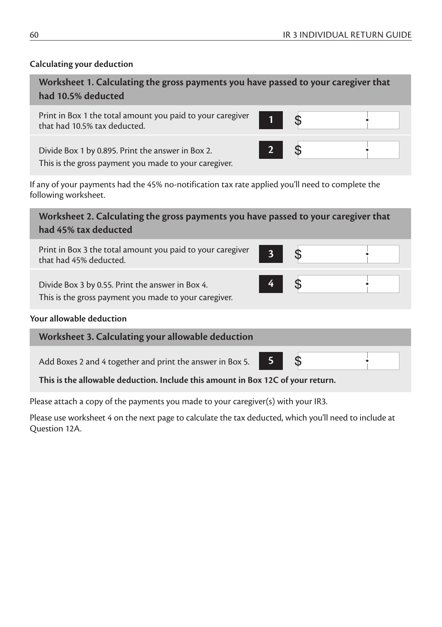#### **Calculating your deduction**

| Worksheet 1. Calculating the gross payments you have passed to your caregiver that<br>had 10.5% deducted   |             |  |  |
|------------------------------------------------------------------------------------------------------------|-------------|--|--|
| Print in Box 1 the total amount you paid to your caregiver<br>that had 10.5% tax deducted.                 |             |  |  |
| Divide Box 1 by 0.895. Print the answer in Box 2.<br>This is the gross payment you made to your caregiver. | $2^{\circ}$ |  |  |

If any of your payments had the 45% no-notification tax rate applied you'll need to complete the following worksheet.

**Worksheet 2. Calculating the gross payments you have passed to your caregiver that had 45% tax deducted**

| Print in Box 3 the total amount you paid to your caregiver<br>that had 45% deducted.                      |                 |  |
|-----------------------------------------------------------------------------------------------------------|-----------------|--|
| Divide Box 3 by 0.55. Print the answer in Box 4.<br>This is the gross payment you made to your caregiver. | $\vert 4 \vert$ |  |

#### **Your allowable deduction**

| Worksheet 3. Calculating your allowable deduction                               |                |  |  |
|---------------------------------------------------------------------------------|----------------|--|--|
| Add Boxes 2 and 4 together and print the answer in Box 5.                       | 5 <sub>1</sub> |  |  |
| This is the allowable deduction. Include this amount in Box 12C of your return. |                |  |  |

Please attach a copy of the payments you made to your caregiver(s) with your IR3.

Please use worksheet 4 on the next page to calculate the tax deducted, which you'll need to include at Question 12A.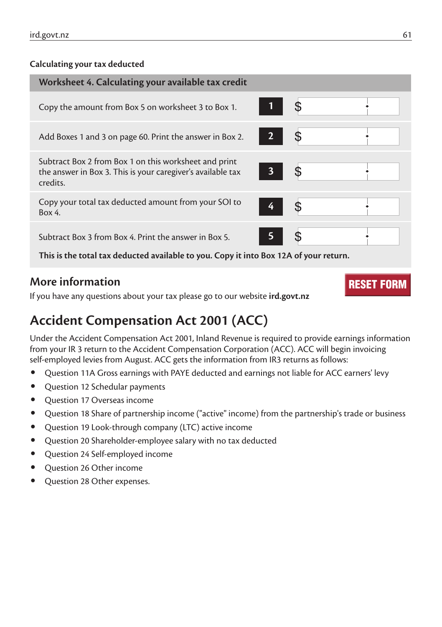#### **Calculating your tax deducted**

| Worksheet 4. Calculating your available tax credit                                                                               |                |    |
|----------------------------------------------------------------------------------------------------------------------------------|----------------|----|
| Copy the amount from Box 5 on worksheet 3 to Box 1.                                                                              |                |    |
| Add Boxes 1 and 3 on page 60. Print the answer in Box 2.                                                                         | 2 <sup>7</sup> |    |
| Subtract Box 2 from Box 1 on this worksheet and print<br>the answer in Box 3. This is your caregiver's available tax<br>credits. | 3 <sup>7</sup> | \$ |
| Copy your total tax deducted amount from your SOI to<br>Box 4.                                                                   | 4              |    |
| Subtract Box 3 from Box 4. Print the answer in Box 5.                                                                            |                |    |

**This is the total tax deducted available to you. Copy it into Box 12A of your return.**

#### **More information**

If you have any questions about your tax please go to our website **ird.govt.nz**

# **Accident Compensation Act 2001 (ACC)**

Under the Accident Compensation Act 2001, Inland Revenue is required to provide earnings information from your IR 3 return to the Accident Compensation Corporation (ACC). ACC will begin invoicing self-employed levies from August. ACC gets the information from IR3 returns as follows:

- Question 11A Gross earnings with PAYE deducted and earnings not liable for ACC earners' levy
- Question 12 Schedular payments
- Question 17 Overseas income
- Question 18 Share of partnership income ("active" income) from the partnership's trade or business
- Question 19 Look-through company (LTC) active income
- Question 20 Shareholder-employee salary with no tax deducted
- Question 24 Self-employed income
- Ouestion 26 Other income
- Question 28 Other expenses.

RESET FORM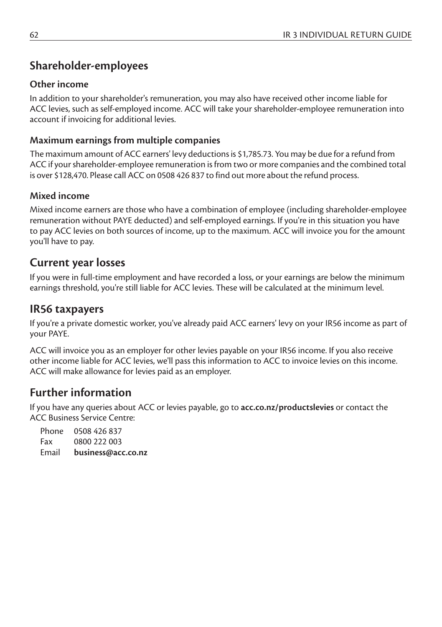## **Shareholder-employees**

#### **Other income**

In addition to your shareholder's remuneration, you may also have received other income liable for ACC levies, such as self-employed income. ACC will take your shareholder-employee remuneration into account if invoicing for additional levies.

#### **Maximum earnings from multiple companies**

The maximum amount of ACC earners' levy deductions is \$1,785.73. You may be due for a refund from ACC if your shareholder-employee remuneration is from two or more companies and the combined total is over \$128,470. Please call ACC on 0508 426 837 to find out more about the refund process.

#### **Mixed income**

Mixed income earners are those who have a combination of employee (including shareholder-employee remuneration without PAYE deducted) and self-employed earnings. If you're in this situation you have to pay ACC levies on both sources of income, up to the maximum. ACC will invoice you for the amount you'll have to pay.

#### **Current year losses**

If you were in full-time employment and have recorded a loss, or your earnings are below the minimum earnings threshold, you're still liable for ACC levies. These will be calculated at the minimum level.

#### **IR56 taxpayers**

If you're a private domestic worker, you've already paid ACC earners' levy on your IR56 income as part of your PAYE.

ACC will invoice you as an employer for other levies payable on your IR56 income. If you also receive other income liable for ACC levies, we'll pass this information to ACC to invoice levies on this income. ACC will make allowance for levies paid as an employer.

#### **Further information**

If you have any queries about ACC or levies payable, go to **acc.co.nz/productslevies** or contact the ACC Business Service Centre:

| Phone | 0508 426 837       |
|-------|--------------------|
| Fax   | 0800 222 003       |
| Email | business@acc.co.nz |